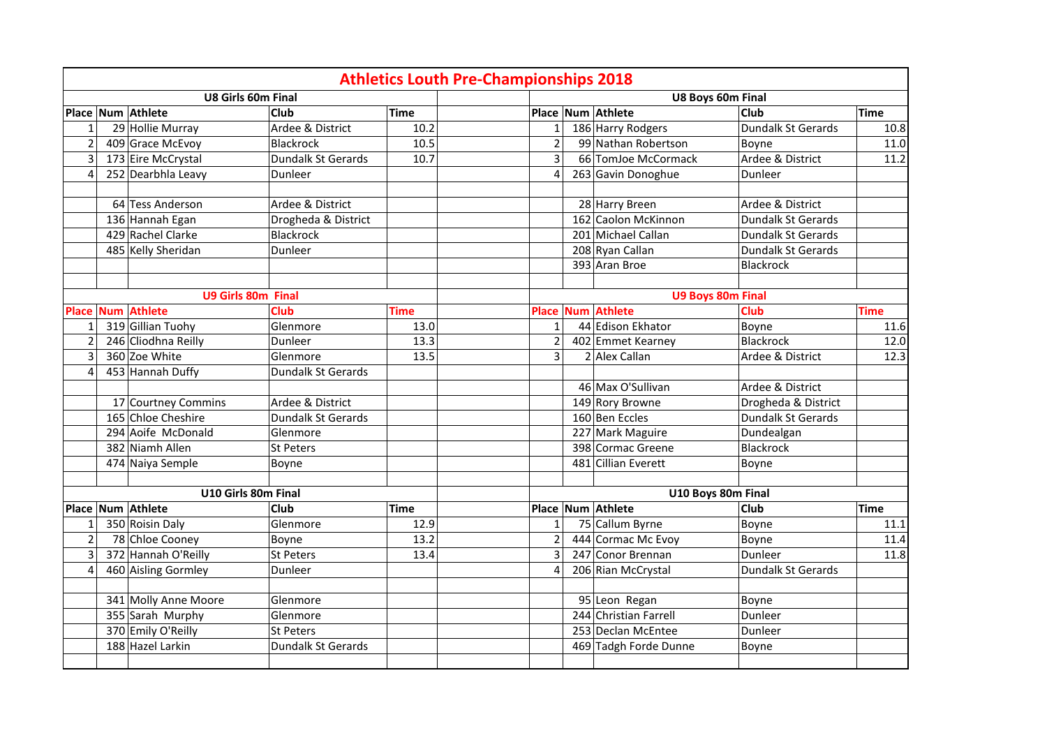|                         |                           |                     |             | <b>Athletics Louth Pre-Championships 2018</b> |                          |                           |             |
|-------------------------|---------------------------|---------------------|-------------|-----------------------------------------------|--------------------------|---------------------------|-------------|
|                         | <b>U8 Girls 60m Final</b> |                     |             |                                               | U8 Boys 60m Final        |                           |             |
|                         | Place Num Athlete         | <b>Club</b>         | <b>Time</b> |                                               | Place Num Athlete        | <b>Club</b>               | <b>Time</b> |
| 1                       | 29 Hollie Murray          | Ardee & District    | 10.2        | $\mathbf{1}$                                  | 186 Harry Rodgers        | Dundalk St Gerards        | 10.8        |
| $\overline{2}$          | 409 Grace McEvoy          | Blackrock           | 10.5        | $\overline{2}$                                | 99 Nathan Robertson      | Boyne                     | 11.0        |
| 3                       | 173 Eire McCrystal        | Dundalk St Gerards  | 10.7        | $\overline{3}$                                | 66 TomJoe McCormack      | Ardee & District          | 11.2        |
| $\overline{4}$          | 252 Dearbhla Leavy        | Dunleer             |             | $\overline{4}$                                | 263 Gavin Donoghue       | Dunleer                   |             |
|                         |                           |                     |             |                                               |                          |                           |             |
|                         | 64 Tess Anderson          | Ardee & District    |             |                                               | 28 Harry Breen           | Ardee & District          |             |
|                         | 136 Hannah Egan           | Drogheda & District |             |                                               | 162 Caolon McKinnon      | <b>Dundalk St Gerards</b> |             |
|                         | 429 Rachel Clarke         | Blackrock           |             |                                               | 201 Michael Callan       | <b>Dundalk St Gerards</b> |             |
|                         | 485 Kelly Sheridan        | Dunleer             |             |                                               | 208 Ryan Callan          | <b>Dundalk St Gerards</b> |             |
|                         |                           |                     |             |                                               | 393 Aran Broe            | Blackrock                 |             |
|                         |                           |                     |             |                                               |                          |                           |             |
|                         | <b>U9 Girls 80m Final</b> |                     |             |                                               | <b>U9 Boys 80m Final</b> |                           |             |
| <b>Place</b>            | <b>Num Athlete</b>        | <b>Club</b>         | <b>Time</b> | Place                                         | Num Athlete              | <b>Club</b>               | <b>Time</b> |
| 1                       | 319 Gillian Tuohy         | Glenmore            | 13.0        | $\mathbf{1}$                                  | 44 Edison Ekhator        | Boyne                     | 11.6        |
| $\overline{2}$          | 246 Cliodhna Reilly       | Dunleer             | 13.3        | $\overline{2}$                                | 402 Emmet Kearney        | Blackrock                 | 12.0        |
| $\overline{\mathbf{3}}$ | 360 Zoe White             | Glenmore            | 13.5        | $\overline{3}$                                | 2 Alex Callan            | Ardee & District          | 12.3        |
| $\overline{4}$          | 453 Hannah Duffy          | Dundalk St Gerards  |             |                                               |                          |                           |             |
|                         |                           |                     |             |                                               | 46 Max O'Sullivan        | Ardee & District          |             |
|                         | 17 Courtney Commins       | Ardee & District    |             |                                               | 149 Rory Browne          | Drogheda & District       |             |
|                         | 165 Chloe Cheshire        | Dundalk St Gerards  |             |                                               | 160 Ben Eccles           | <b>Dundalk St Gerards</b> |             |
|                         | 294 Aoife McDonald        | Glenmore            |             |                                               | 227 Mark Maguire         | Dundealgan                |             |
|                         | 382 Niamh Allen           | <b>St Peters</b>    |             |                                               | 398 Cormac Greene        | Blackrock                 |             |
|                         | 474 Naiya Semple          | Boyne               |             |                                               | 481 Cillian Everett      | Boyne                     |             |
|                         |                           |                     |             |                                               |                          |                           |             |
|                         | U10 Girls 80m Final       |                     |             |                                               | U10 Boys 80m Final       |                           |             |
|                         | Place Num Athlete         | <b>Club</b>         | <b>Time</b> |                                               | Place Num Athlete        | <b>Club</b>               | <b>Time</b> |
| $\mathbf{1}$            | 350 Roisin Daly           | Glenmore            | 12.9        | $\mathbf{1}$                                  | 75 Callum Byrne          | Boyne                     | 11.1        |
| $\overline{2}$          | 78 Chloe Cooney           | Boyne               | 13.2        | $\overline{2}$                                | 444 Cormac Mc Evoy       | Boyne                     | 11.4        |
| 3                       | 372 Hannah O'Reilly       | St Peters           | 13.4        | $\overline{3}$                                | 247 Conor Brennan        | Dunleer                   | 11.8        |
| $\overline{4}$          | 460 Aisling Gormley       | Dunleer             |             | $\overline{4}$                                | 206 Rian McCrystal       | <b>Dundalk St Gerards</b> |             |
|                         |                           |                     |             |                                               |                          |                           |             |
|                         | 341 Molly Anne Moore      | Glenmore            |             |                                               | 95 Leon Regan            | Boyne                     |             |
|                         | 355 Sarah Murphy          | Glenmore            |             |                                               | 244 Christian Farrell    | Dunleer                   |             |
|                         | 370 Emily O'Reilly        | <b>St Peters</b>    |             |                                               | 253 Declan McEntee       | Dunleer                   |             |
|                         | 188 Hazel Larkin          | Dundalk St Gerards  |             |                                               | 469 Tadgh Forde Dunne    | Boyne                     |             |
|                         |                           |                     |             |                                               |                          |                           |             |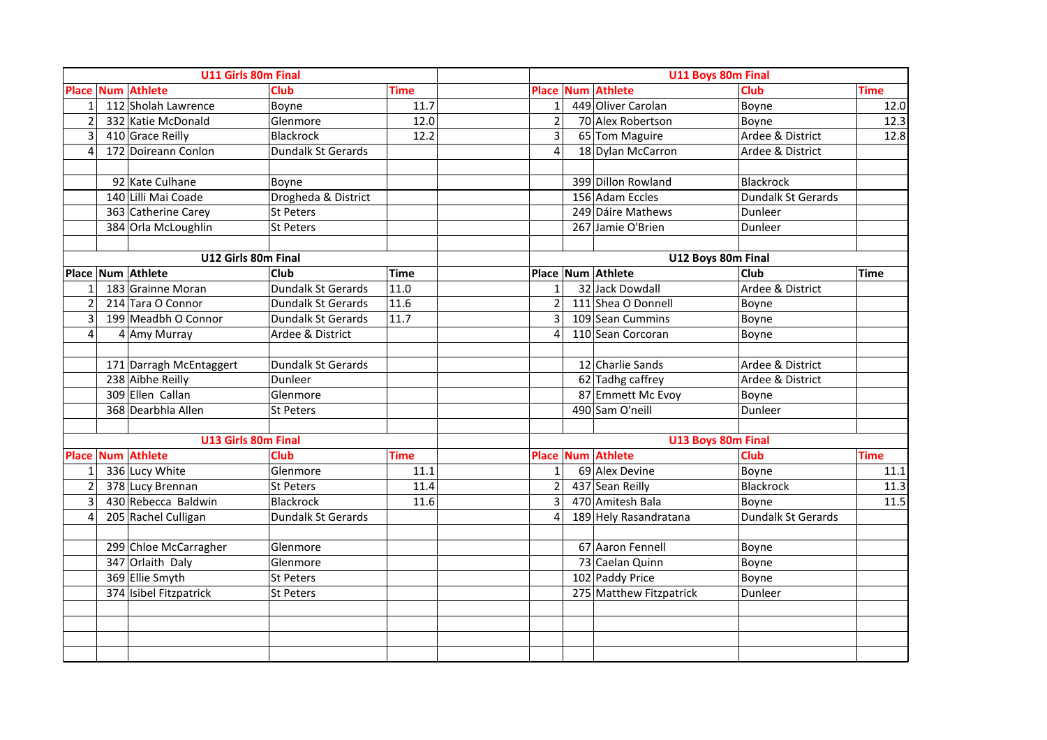|                         | U11 Girls 80m Final      |                           |             |                |                          | U11 Boys 80m Final |             |
|-------------------------|--------------------------|---------------------------|-------------|----------------|--------------------------|--------------------|-------------|
|                         | <b>Place Num Athlete</b> | <b>Club</b>               | <b>Time</b> |                | Place Num Athlete        | <b>Club</b>        | <b>Time</b> |
| $\mathbf{1}$            | 112 Sholah Lawrence      | Boyne                     | 11.7        | $\mathbf{1}$   | 449 Oliver Carolan       | Boyne              | 12.0        |
| $\overline{2}$          | 332 Katie McDonald       | Glenmore                  | 12.0        | $\overline{2}$ | 70 Alex Robertson        | Boyne              | 12.3        |
| 3                       | 410 Grace Reilly         | <b>Blackrock</b>          | 12.2        | $\overline{3}$ | 65 Tom Maguire           | Ardee & District   | 12.8        |
| $\boldsymbol{\Delta}$   | 172 Doireann Conlon      | Dundalk St Gerards        |             | Δ              | 18 Dylan McCarron        | Ardee & District   |             |
|                         |                          |                           |             |                |                          |                    |             |
|                         | 92 Kate Culhane          | Boyne                     |             |                | 399 Dillon Rowland       | Blackrock          |             |
|                         | 140 Lilli Mai Coade      | Drogheda & District       |             |                | 156 Adam Eccles          | Dundalk St Gerards |             |
|                         | 363 Catherine Carey      | <b>St Peters</b>          |             |                | 249 Dáire Mathews        | Dunleer            |             |
|                         | 384 Orla McLoughlin      | <b>St Peters</b>          |             |                | 267 Jamie O'Brien        | Dunleer            |             |
|                         |                          |                           |             |                |                          |                    |             |
|                         | U12 Girls 80m Final      |                           |             |                |                          | U12 Boys 80m Final |             |
|                         | Place Num Athlete        | <b>Club</b>               | Time        |                | Place Num Athlete        | <b>Club</b>        | <b>Time</b> |
| $\overline{\mathbf{1}}$ | 183 Grainne Moran        | Dundalk St Gerards        | 11.0        | $\mathbf{1}$   | 32 Jack Dowdall          | Ardee & District   |             |
| $\overline{2}$          | 214 Tara O Connor        | Dundalk St Gerards        | 11.6        | $\overline{2}$ | 111 Shea O Donnell       | Boyne              |             |
| 3                       | 199 Meadbh O Connor      | Dundalk St Gerards        | 11.7        | $\overline{3}$ | 109 Sean Cummins         | Boyne              |             |
| $\overline{4}$          | 4 Amy Murray             | Ardee & District          |             | Δ              | 110 Sean Corcoran        | Boyne              |             |
|                         |                          |                           |             |                |                          |                    |             |
|                         | 171 Darragh McEntaggert  | Dundalk St Gerards        |             |                | 12 Charlie Sands         | Ardee & District   |             |
|                         | 238 Aibhe Reilly         | Dunleer                   |             |                | 62 Tadhg caffrey         | Ardee & District   |             |
|                         | 309 Ellen Callan         | Glenmore                  |             |                | 87 Emmett Mc Evoy        | Boyne              |             |
|                         | 368 Dearbhla Allen       | <b>St Peters</b>          |             |                | 490 Sam O'neill          | Dunleer            |             |
|                         |                          |                           |             |                |                          |                    |             |
|                         | U13 Girls 80m Final      |                           |             |                |                          | U13 Boys 80m Final |             |
|                         | <b>Place Num Athlete</b> | Club                      | <b>Time</b> |                | <b>Place Num Athlete</b> | <b>Club</b>        | <b>Time</b> |
| $\mathbf{1}$            | 336 Lucy White           | Glenmore                  | 11.1        | $\mathbf{1}$   | 69 Alex Devine           | Boyne              | 11.1        |
| $\overline{2}$          | 378 Lucy Brennan         | <b>St Peters</b>          | 11.4        | $\overline{2}$ | 437 Sean Reilly          | <b>Blackrock</b>   | 11.3        |
| $\overline{3}$          | 430 Rebecca Baldwin      | <b>Blackrock</b>          | 11.6        | $\overline{3}$ | 470 Amitesh Bala         | Boyne              | 11.5        |
| $\overline{4}$          | 205 Rachel Culligan      | <b>Dundalk St Gerards</b> |             | $\Delta$       | 189 Hely Rasandratana    | Dundalk St Gerards |             |
|                         |                          |                           |             |                |                          |                    |             |
|                         | 299 Chloe McCarragher    | Glenmore                  |             |                | 67 Aaron Fennell         | Boyne              |             |
|                         | 347 Orlaith Daly         | Glenmore                  |             |                | 73 Caelan Quinn          | Boyne              |             |
|                         | 369 Ellie Smyth          | <b>St Peters</b>          |             |                | 102 Paddy Price          | Boyne              |             |
|                         | 374 Isibel Fitzpatrick   | <b>St Peters</b>          |             |                | 275 Matthew Fitzpatrick  | Dunleer            |             |
|                         |                          |                           |             |                |                          |                    |             |
|                         |                          |                           |             |                |                          |                    |             |
|                         |                          |                           |             |                |                          |                    |             |
|                         |                          |                           |             |                |                          |                    |             |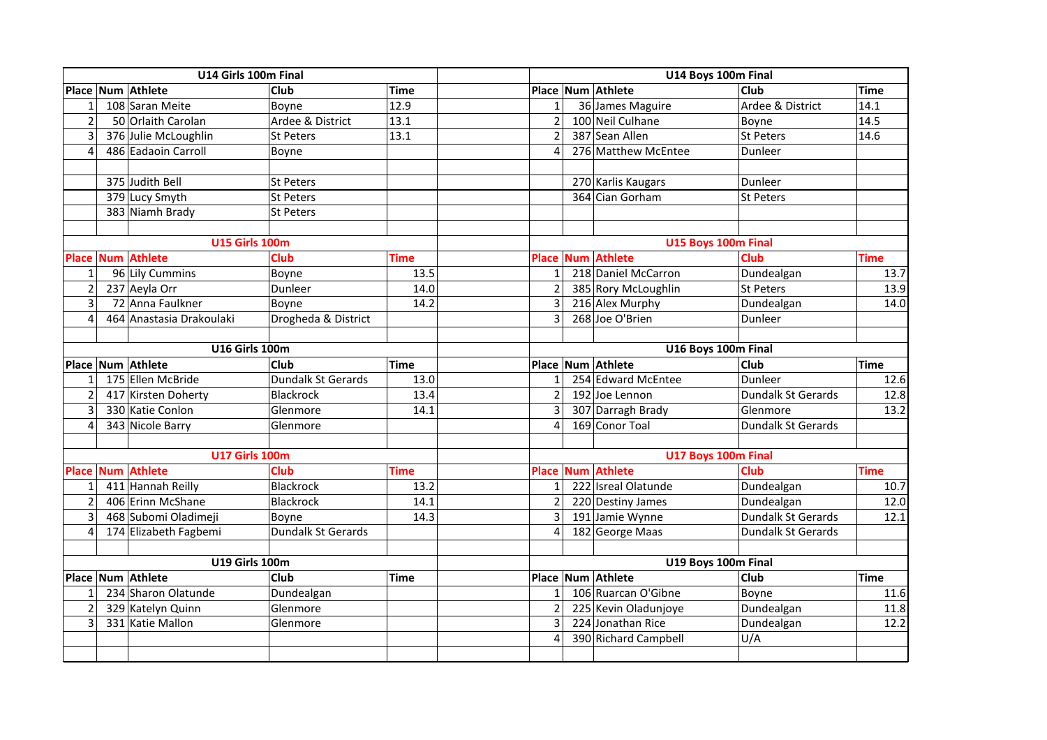|                         | U14 Girls 100m Final  |                          |                           |             |                | U14 Boys 100m Final |                      |                     |             |  |  |
|-------------------------|-----------------------|--------------------------|---------------------------|-------------|----------------|---------------------|----------------------|---------------------|-------------|--|--|
|                         |                       | Place Num Athlete        | <b>Club</b>               | <b>Time</b> |                |                     | Place Num Athlete    | <b>Club</b>         | Time        |  |  |
| $\mathbf{1}$            |                       | 108 Saran Meite          | Boyne                     | 12.9        | $\mathbf{1}$   |                     | 36 James Maguire     | Ardee & District    | 14.1        |  |  |
| $\overline{2}$          |                       | 50 Orlaith Carolan       | Ardee & District          | 13.1        | $\overline{2}$ |                     | 100 Neil Culhane     | Boyne               | 14.5        |  |  |
| 3                       |                       | 376 Julie McLoughlin     | St Peters                 | 13.1        | $\overline{2}$ |                     | 387 Sean Allen       | St Peters           | 14.6        |  |  |
| 4                       |                       | 486 Eadaoin Carroll      | Boyne                     |             | 4              |                     | 276 Matthew McEntee  | Dunleer             |             |  |  |
|                         |                       |                          |                           |             |                |                     |                      |                     |             |  |  |
|                         |                       | 375 Judith Bell          | St Peters                 |             |                |                     | 270 Karlis Kaugars   | Dunleer             |             |  |  |
|                         |                       | 379 Lucy Smyth           | <b>St Peters</b>          |             |                |                     | 364 Cian Gorham      | St Peters           |             |  |  |
|                         |                       | 383 Niamh Brady          | St Peters                 |             |                |                     |                      |                     |             |  |  |
|                         |                       |                          |                           |             |                |                     |                      |                     |             |  |  |
|                         |                       | <b>U15 Girls 100m</b>    |                           |             |                |                     |                      | U15 Boys 100m Final |             |  |  |
| <b>Place</b>            |                       | <b>Num Athlete</b>       | <b>Club</b>               | <b>Time</b> | <b>Place</b>   |                     | <b>Num Athlete</b>   | <b>Club</b>         | <b>Time</b> |  |  |
| 1                       |                       | 96 Lily Cummins          | Boyne                     | 13.5        | 1 <sup>1</sup> |                     | 218 Daniel McCarron  | Dundealgan          | 13.7        |  |  |
| $\overline{2}$          |                       | 237 Aeyla Orr            | Dunleer                   | 14.0        | $\overline{2}$ |                     | 385 Rory McLoughlin  | <b>St Peters</b>    | 13.9        |  |  |
| 3                       |                       | 72 Anna Faulkner         | Boyne                     | 14.2        | 3              |                     | 216 Alex Murphy      | Dundealgan          | 14.0        |  |  |
| $\overline{4}$          |                       | 464 Anastasia Drakoulaki | Drogheda & District       |             | $\overline{3}$ |                     | 268 Joe O'Brien      | Dunleer             |             |  |  |
|                         |                       |                          |                           |             |                |                     |                      |                     |             |  |  |
|                         | <b>U16 Girls 100m</b> |                          |                           |             |                |                     |                      | U16 Boys 100m Final |             |  |  |
|                         |                       | Place Num Athlete        | Club                      | <b>Time</b> |                |                     | Place Num Athlete    | <b>Club</b>         | Time        |  |  |
| $\mathbf{1}$            |                       | 175 Ellen McBride        | <b>Dundalk St Gerards</b> | 13.0        | $\mathbf{1}$   |                     | 254 Edward McEntee   | Dunleer             | 12.6        |  |  |
| $\overline{2}$          |                       | 417 Kirsten Doherty      | Blackrock                 | 13.4        | 2              |                     | 192 Joe Lennon       | Dundalk St Gerards  | 12.8        |  |  |
| 3                       |                       | 330 Katie Conlon         | Glenmore                  | 14.1        | 3              |                     | 307 Darragh Brady    | Glenmore            | 13.2        |  |  |
| $\overline{4}$          |                       | 343 Nicole Barry         | Glenmore                  |             | 4              |                     | 169 Conor Toal       | Dundalk St Gerards  |             |  |  |
|                         |                       |                          |                           |             |                |                     |                      |                     |             |  |  |
|                         |                       | <b>U17 Girls 100m</b>    |                           |             |                |                     |                      | U17 Boys 100m Final |             |  |  |
| <b>Place</b>            |                       | <b>Num Athlete</b>       | <b>Club</b>               | <b>Time</b> | <b>Place</b>   |                     | <b>Num Athlete</b>   | <b>Club</b>         | <b>Time</b> |  |  |
| 1                       |                       | 411 Hannah Reilly        | Blackrock                 | 13.2        | $\mathbf{1}$   |                     | 222 Isreal Olatunde  | Dundealgan          | 10.7        |  |  |
| $\overline{2}$          |                       | 406 Erinn McShane        | Blackrock                 | 14.1        | $\overline{2}$ |                     | 220 Destiny James    | Dundealgan          | 12.0        |  |  |
| 3                       |                       | 468 Subomi Oladimeji     | Boyne                     | 14.3        | 3              |                     | 191 Jamie Wynne      | Dundalk St Gerards  | 12.1        |  |  |
| $\overline{\mathbf{4}}$ |                       | 174 Elizabeth Fagbemi    | Dundalk St Gerards        |             | 4              |                     | 182 George Maas      | Dundalk St Gerards  |             |  |  |
|                         |                       | <b>U19 Girls 100m</b>    |                           |             |                |                     |                      | U19 Boys 100m Final |             |  |  |
|                         |                       | Place Num Athlete        | <b>Club</b>               | <b>Time</b> |                |                     | Place Num Athlete    | <b>Club</b>         | <b>Time</b> |  |  |
| $\mathbf{1}$            |                       | 234 Sharon Olatunde      | Dundealgan                |             | $\mathbf{1}$   |                     | 106 Ruarcan O'Gibne  | Boyne               | 11.6        |  |  |
| $\overline{2}$          |                       | 329 Katelyn Quinn        | Glenmore                  |             | $\overline{2}$ |                     | 225 Kevin Oladunjoye | Dundealgan          | 11.8        |  |  |
| 3                       |                       | 331 Katie Mallon         | Glenmore                  |             | 3              |                     | 224 Jonathan Rice    | Dundealgan          | 12.2        |  |  |
|                         |                       |                          |                           |             | 4              |                     | 390 Richard Campbell | U/A                 |             |  |  |
|                         |                       |                          |                           |             |                |                     |                      |                     |             |  |  |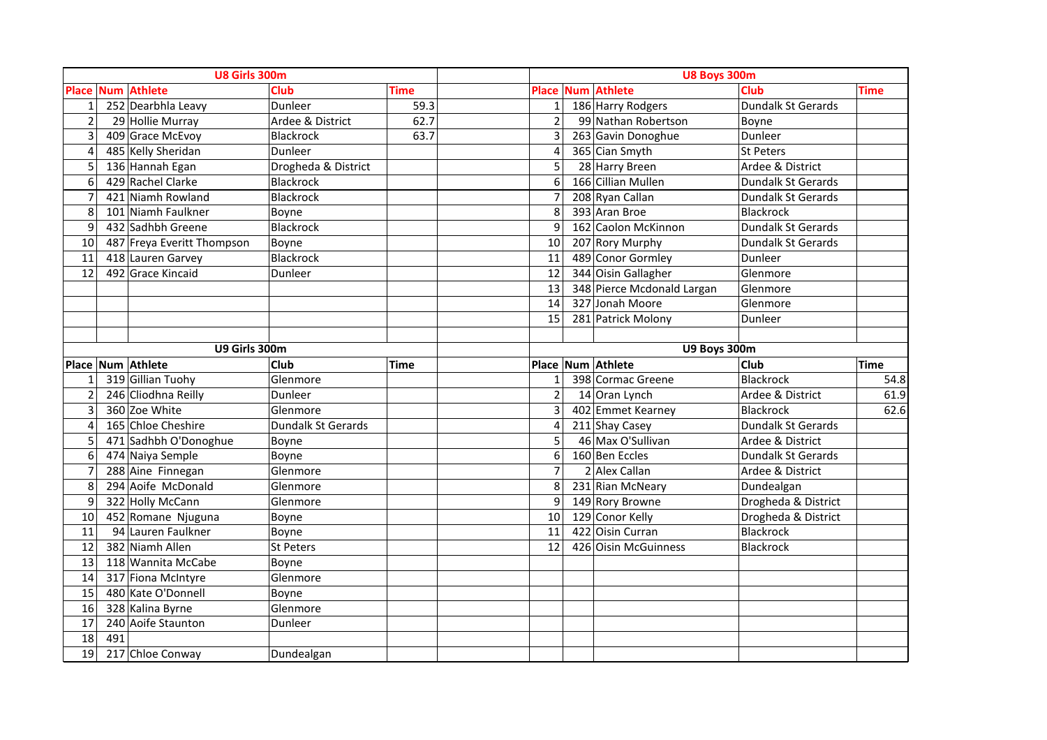|                | U8 Girls 300m |                            |                           |             | <b>U8 Boys 300m</b> |  |                            |                           |             |  |  |
|----------------|---------------|----------------------------|---------------------------|-------------|---------------------|--|----------------------------|---------------------------|-------------|--|--|
|                |               | <b>Place Num Athlete</b>   | <b>Club</b>               | <b>Time</b> |                     |  | <b>Place Num Athlete</b>   | Club                      | <b>Time</b> |  |  |
| $\mathbf{1}$   |               | 252 Dearbhla Leavy         | Dunleer                   | 59.3        | $\mathbf{1}$        |  | 186 Harry Rodgers          | Dundalk St Gerards        |             |  |  |
| $\overline{2}$ |               | 29 Hollie Murray           | Ardee & District          | 62.7        | $\overline{2}$      |  | 99 Nathan Robertson        | Boyne                     |             |  |  |
| 3              |               | 409 Grace McEvoy           | Blackrock                 | 63.7        | 3                   |  | 263 Gavin Donoghue         | Dunleer                   |             |  |  |
| $\overline{4}$ |               | 485 Kelly Sheridan         | Dunleer                   |             | $\overline{4}$      |  | 365 Cian Smyth             | <b>St Peters</b>          |             |  |  |
| 5              |               | 136 Hannah Egan            | Drogheda & District       |             | 5                   |  | 28 Harry Breen             | Ardee & District          |             |  |  |
| 6              |               | 429 Rachel Clarke          | <b>Blackrock</b>          |             | 6                   |  | 166 Cillian Mullen         | Dundalk St Gerards        |             |  |  |
| $\overline{7}$ |               | 421 Niamh Rowland          | <b>Blackrock</b>          |             | $\overline{7}$      |  | 208 Ryan Callan            | <b>Dundalk St Gerards</b> |             |  |  |
| 8              |               | 101 Niamh Faulkner         | Boyne                     |             | 8                   |  | 393 Aran Broe              | Blackrock                 |             |  |  |
| 9              |               | 432 Sadhbh Greene          | Blackrock                 |             | 9                   |  | 162 Caolon McKinnon        | <b>Dundalk St Gerards</b> |             |  |  |
| 10             |               | 487 Freya Everitt Thompson | Boyne                     |             | 10                  |  | 207 Rory Murphy            | Dundalk St Gerards        |             |  |  |
| 11             |               | 418 Lauren Garvey          | Blackrock                 |             | 11                  |  | 489 Conor Gormley          | Dunleer                   |             |  |  |
| 12             |               | 492 Grace Kincaid          | Dunleer                   |             | 12                  |  | 344 Oisin Gallagher        | Glenmore                  |             |  |  |
|                |               |                            |                           |             | 13                  |  | 348 Pierce Mcdonald Largan | Glenmore                  |             |  |  |
|                |               |                            |                           |             | 14                  |  | 327 Jonah Moore            | Glenmore                  |             |  |  |
|                |               |                            |                           |             | 15                  |  | 281 Patrick Molony         | Dunleer                   |             |  |  |
|                |               |                            |                           |             |                     |  |                            |                           |             |  |  |
|                | U9 Girls 300m |                            |                           |             |                     |  | U9 Boys 300m               |                           |             |  |  |
|                |               | Place Num Athlete          | <b>Club</b>               | <b>Time</b> |                     |  | Place Num Athlete          | Club                      | <b>Time</b> |  |  |
| $\mathbf{1}$   |               | 319 Gillian Tuohy          | Glenmore                  |             | $\mathbf{1}$        |  | 398 Cormac Greene          | Blackrock                 | 54.8        |  |  |
| $\overline{2}$ |               | 246 Cliodhna Reilly        | Dunleer                   |             | $\overline{2}$      |  | 14 Oran Lynch              | Ardee & District          | 61.9        |  |  |
| 3              |               | 360 Zoe White              | Glenmore                  |             | 3                   |  | 402 Emmet Kearney          | <b>Blackrock</b>          | 62.6        |  |  |
| $\overline{4}$ |               | 165 Chloe Cheshire         | <b>Dundalk St Gerards</b> |             | $\overline{4}$      |  | 211 Shay Casey             | <b>Dundalk St Gerards</b> |             |  |  |
| 5              |               | 471 Sadhbh O'Donoghue      | Boyne                     |             | 5                   |  | 46 Max O'Sullivan          | Ardee & District          |             |  |  |
| 6              |               | 474 Naiya Semple           | Boyne                     |             | 6                   |  | 160 Ben Eccles             | <b>Dundalk St Gerards</b> |             |  |  |
| $\overline{7}$ |               | 288 Aine Finnegan          | Glenmore                  |             | $\overline{7}$      |  | 2 Alex Callan              | Ardee & District          |             |  |  |
| 8              |               | 294 Aoife McDonald         | Glenmore                  |             | 8                   |  | 231 Rian McNeary           | Dundealgan                |             |  |  |
| 9              |               | 322 Holly McCann           | Glenmore                  |             | 9                   |  | 149 Rory Browne            | Drogheda & District       |             |  |  |
| 10             |               | 452 Romane Njuguna         | Boyne                     |             | 10                  |  | 129 Conor Kelly            | Drogheda & District       |             |  |  |
| 11             |               | 94 Lauren Faulkner         | Boyne                     |             | 11                  |  | 422 Oisin Curran           | Blackrock                 |             |  |  |
| 12             |               | 382 Niamh Allen            | <b>St Peters</b>          |             | 12                  |  | 426 Oisin McGuinness       | <b>Blackrock</b>          |             |  |  |
| 13             |               | 118 Wannita McCabe         | Boyne                     |             |                     |  |                            |                           |             |  |  |
| 14             |               | 317 Fiona McIntyre         | Glenmore                  |             |                     |  |                            |                           |             |  |  |
| 15             |               | 480 Kate O'Donnell         | Boyne                     |             |                     |  |                            |                           |             |  |  |
| 16             |               | 328 Kalina Byrne           | Glenmore                  |             |                     |  |                            |                           |             |  |  |
| 17             |               | 240 Aoife Staunton         | Dunleer                   |             |                     |  |                            |                           |             |  |  |
| 18             | 491           |                            |                           |             |                     |  |                            |                           |             |  |  |
| 19             |               | 217 Chloe Conway           | Dundealgan                |             |                     |  |                            |                           |             |  |  |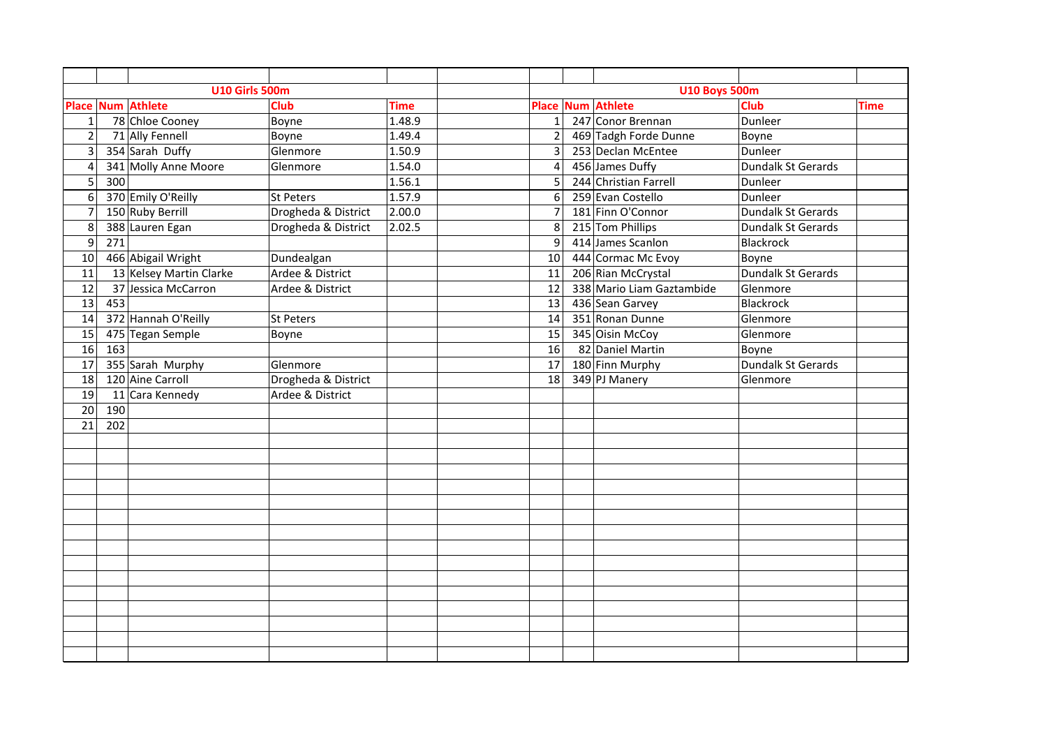|                |     | <b>U10 Girls 500m</b>    |                     |             |                       | <b>U10 Boys 500m</b>      |                    |      |
|----------------|-----|--------------------------|---------------------|-------------|-----------------------|---------------------------|--------------------|------|
|                |     | <b>Place Num Athlete</b> | <b>Club</b>         | <b>Time</b> |                       | <b>Place Num Athlete</b>  | <b>Club</b>        | Time |
| $\mathbf{1}$   |     | 78 Chloe Cooney          | Boyne               | 1.48.9      | $\mathbf{1}$          | 247 Conor Brennan         | Dunleer            |      |
| $\overline{c}$ |     | 71 Ally Fennell          | Boyne               | 1.49.4      | $\overline{2}$        | 469 Tadgh Forde Dunne     | Boyne              |      |
| 3              |     | 354 Sarah Duffy          | Glenmore            | 1.50.9      | 3                     | 253 Declan McEntee        | Dunleer            |      |
| $\overline{4}$ |     | 341 Molly Anne Moore     | Glenmore            | 1.54.0      | $\boldsymbol{\Delta}$ | 456 James Duffy           | Dundalk St Gerards |      |
| 5              | 300 |                          |                     | 1.56.1      | 5                     | 244 Christian Farrell     | Dunleer            |      |
| 6              |     | 370 Emily O'Reilly       | St Peters           | 1.57.9      | 6                     | 259 Evan Costello         | Dunleer            |      |
| $\overline{7}$ |     | 150 Ruby Berrill         | Drogheda & District | 2.00.0      | $\overline{7}$        | 181 Finn O'Connor         | Dundalk St Gerards |      |
| 8              |     | 388 Lauren Egan          | Drogheda & District | 2.02.5      | 8                     | 215 Tom Phillips          | Dundalk St Gerards |      |
| 9              | 271 |                          |                     |             | 9                     | 414 James Scanlon         | <b>Blackrock</b>   |      |
| 10             |     | 466 Abigail Wright       | Dundealgan          |             | 10                    | 444 Cormac Mc Evoy        | Boyne              |      |
| 11             |     | 13 Kelsey Martin Clarke  | Ardee & District    |             | 11                    | 206 Rian McCrystal        | Dundalk St Gerards |      |
| 12             |     | 37 Jessica McCarron      | Ardee & District    |             | 12                    | 338 Mario Liam Gaztambide | Glenmore           |      |
| 13             | 453 |                          |                     |             | 13                    | 436 Sean Garvey           | <b>Blackrock</b>   |      |
| 14             |     | 372 Hannah O'Reilly      | St Peters           |             | 14                    | 351 Ronan Dunne           | Glenmore           |      |
| 15             |     | 475 Tegan Semple         | Boyne               |             | 15                    | 345 Oisin McCoy           | Glenmore           |      |
| 16             | 163 |                          |                     |             | 16                    | 82 Daniel Martin          | Boyne              |      |
| 17             |     | 355 Sarah Murphy         | Glenmore            |             | 17                    | 180 Finn Murphy           | Dundalk St Gerards |      |
| 18             |     | 120 Aine Carroll         | Drogheda & District |             | 18                    | 349 PJ Manery             | Glenmore           |      |
| 19             |     | 11 Cara Kennedy          | Ardee & District    |             |                       |                           |                    |      |
| 20             | 190 |                          |                     |             |                       |                           |                    |      |
| 21             | 202 |                          |                     |             |                       |                           |                    |      |
|                |     |                          |                     |             |                       |                           |                    |      |
|                |     |                          |                     |             |                       |                           |                    |      |
|                |     |                          |                     |             |                       |                           |                    |      |
|                |     |                          |                     |             |                       |                           |                    |      |
|                |     |                          |                     |             |                       |                           |                    |      |
|                |     |                          |                     |             |                       |                           |                    |      |
|                |     |                          |                     |             |                       |                           |                    |      |
|                |     |                          |                     |             |                       |                           |                    |      |
|                |     |                          |                     |             |                       |                           |                    |      |
|                |     |                          |                     |             |                       |                           |                    |      |
|                |     |                          |                     |             |                       |                           |                    |      |
|                |     |                          |                     |             |                       |                           |                    |      |
|                |     |                          |                     |             |                       |                           |                    |      |
|                |     |                          |                     |             |                       |                           |                    |      |
|                |     |                          |                     |             |                       |                           |                    |      |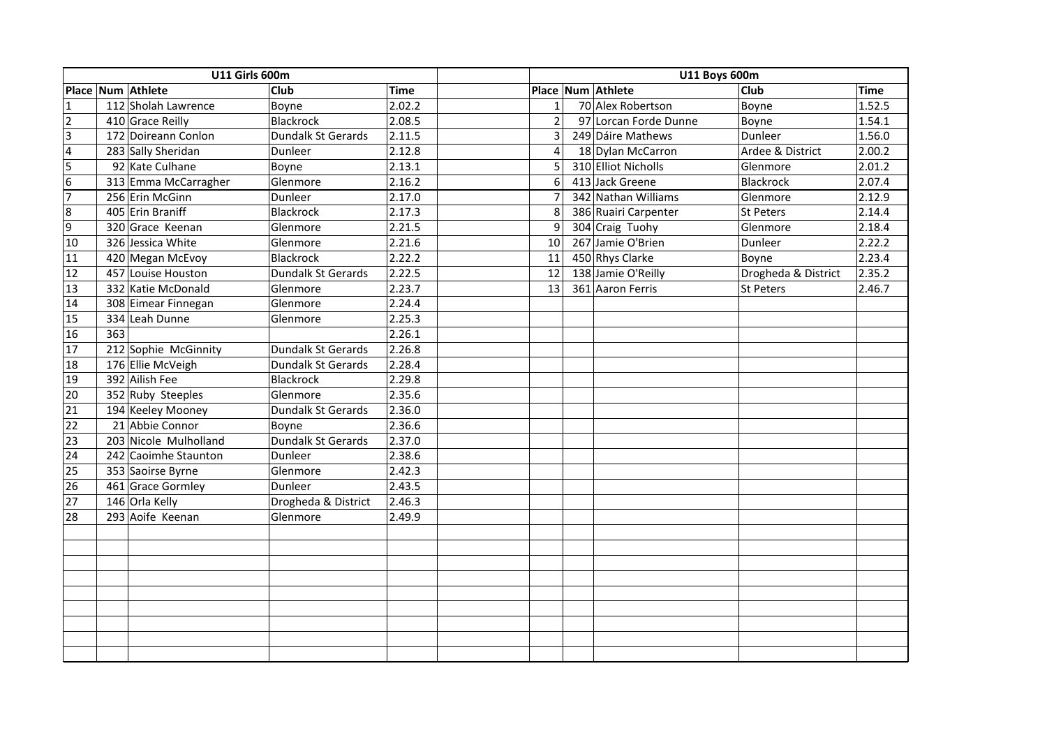|                  | <b>U11 Girls 600m</b> |                     |             |                | <b>U11 Boys 600m</b>  |                     |             |
|------------------|-----------------------|---------------------|-------------|----------------|-----------------------|---------------------|-------------|
|                  | Place Num Athlete     | <b>Club</b>         | <b>Time</b> |                | Place Num Athlete     | <b>Club</b>         | <b>Time</b> |
| $\overline{1}$   | 112 Sholah Lawrence   | Boyne               | 2.02.2      | $\mathbf{1}$   | 70 Alex Robertson     | Boyne               | 1.52.5      |
| $\overline{2}$   | 410 Grace Reilly      | <b>Blackrock</b>    | 2.08.5      | $\overline{2}$ | 97 Lorcan Forde Dunne | Boyne               | 1.54.1      |
| $\vert$          | 172 Doireann Conlon   | Dundalk St Gerards  | 2.11.5      | $\overline{3}$ | 249 Dáire Mathews     | Dunleer             | 1.56.0      |
| $\overline{4}$   | 283 Sally Sheridan    | Dunleer             | 2.12.8      | $\overline{a}$ | 18 Dylan McCarron     | Ardee & District    | 2.00.2      |
| 5                | 92 Kate Culhane       | Boyne               | 2.13.1      | 5              | 310 Elliot Nicholls   | Glenmore            | 2.01.2      |
| $\overline{6}$   | 313 Emma McCarragher  | Glenmore            | 2.16.2      | 6              | 413 Jack Greene       | Blackrock           | 2.07.4      |
| $\overline{7}$   | 256 Erin McGinn       | Dunleer             | 2.17.0      | $\overline{7}$ | 342 Nathan Williams   | Glenmore            | 2.12.9      |
| $\boldsymbol{8}$ | 405 Erin Braniff      | Blackrock           | 2.17.3      | 8              | 386 Ruairi Carpenter  | St Peters           | 2.14.4      |
| 9                | 320 Grace Keenan      | Glenmore            | 2.21.5      | 9              | 304 Craig Tuohy       | Glenmore            | 2.18.4      |
| 10               | 326 Jessica White     | Glenmore            | 2.21.6      | 10             | 267 Jamie O'Brien     | Dunleer             | 2.22.2      |
| 11               | 420 Megan McEvoy      | Blackrock           | 2.22.2      | 11             | 450 Rhys Clarke       | Boyne               | 2.23.4      |
| 12               | 457 Louise Houston    | Dundalk St Gerards  | 2.22.5      | 12             | 138 Jamie O'Reilly    | Drogheda & District | 2.35.2      |
| 13               | 332 Katie McDonald    | Glenmore            | 2.23.7      | 13             | 361 Aaron Ferris      | <b>St Peters</b>    | 2.46.7      |
| 14               | 308 Eimear Finnegan   | Glenmore            | 2.24.4      |                |                       |                     |             |
| 15               | 334 Leah Dunne        | Glenmore            | 2.25.3      |                |                       |                     |             |
| 16               | 363                   |                     | 2.26.1      |                |                       |                     |             |
| 17               | 212 Sophie McGinnity  | Dundalk St Gerards  | 2.26.8      |                |                       |                     |             |
| 18               | 176 Ellie McVeigh     | Dundalk St Gerards  | 2.28.4      |                |                       |                     |             |
| 19               | 392 Ailish Fee        | Blackrock           | 2.29.8      |                |                       |                     |             |
| 20               | 352 Ruby Steeples     | Glenmore            | 2.35.6      |                |                       |                     |             |
| $\overline{21}$  | 194 Keeley Mooney     | Dundalk St Gerards  | 2.36.0      |                |                       |                     |             |
| 22               | 21 Abbie Connor       | Boyne               | 2.36.6      |                |                       |                     |             |
| 23               | 203 Nicole Mulholland | Dundalk St Gerards  | 2.37.0      |                |                       |                     |             |
| 24               | 242 Caoimhe Staunton  | Dunleer             | 2.38.6      |                |                       |                     |             |
| 25               | 353 Saoirse Byrne     | Glenmore            | 2.42.3      |                |                       |                     |             |
| 26               | 461 Grace Gormley     | Dunleer             | 2.43.5      |                |                       |                     |             |
| 27               | 146 Orla Kelly        | Drogheda & District | 2.46.3      |                |                       |                     |             |
| 28               | 293 Aoife Keenan      | Glenmore            | 2.49.9      |                |                       |                     |             |
|                  |                       |                     |             |                |                       |                     |             |
|                  |                       |                     |             |                |                       |                     |             |
|                  |                       |                     |             |                |                       |                     |             |
|                  |                       |                     |             |                |                       |                     |             |
|                  |                       |                     |             |                |                       |                     |             |
|                  |                       |                     |             |                |                       |                     |             |
|                  |                       |                     |             |                |                       |                     |             |
|                  |                       |                     |             |                |                       |                     |             |
|                  |                       |                     |             |                |                       |                     |             |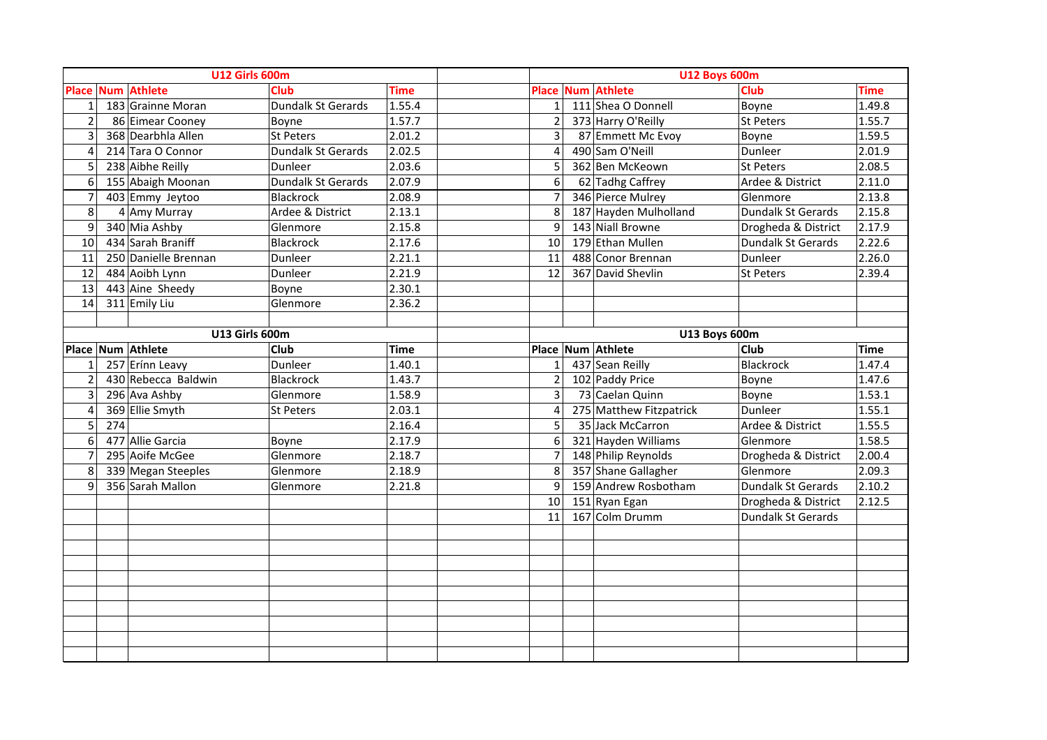|                | <b>U12 Girls 600m</b> |                          |                    |             |                          |                              | <b>U12 Boys 600m</b> |             |
|----------------|-----------------------|--------------------------|--------------------|-------------|--------------------------|------------------------------|----------------------|-------------|
|                |                       | <b>Place Num Athlete</b> | <b>Club</b>        | <b>Time</b> | <b>Place</b>             | <b>Num Athlete</b>           | Club                 | <b>Time</b> |
| $\mathbf{1}$   |                       | 183 Grainne Moran        | Dundalk St Gerards | 1.55.4      | $\mathbf{1}$             | 111 Shea O Donnell           | Boyne                | 1.49.8      |
| $\overline{2}$ |                       | 86 Eimear Cooney         | Boyne              | 1.57.7      | $\overline{2}$           | 373 Harry O'Reilly           | St Peters            | 1.55.7      |
| 3              |                       | 368 Dearbhla Allen       | St Peters          | 2.01.2      | $\overline{3}$           | 87 Emmett Mc Evoy            | Boyne                | 1.59.5      |
| 4              |                       | 214 Tara O Connor        | Dundalk St Gerards | 2.02.5      | 4                        | 490 Sam O'Neill              | Dunleer              | 2.01.9      |
| 5              |                       | 238 Aibhe Reilly         | Dunleer            | 2.03.6      | 5                        | 362 Ben McKeown              | <b>St Peters</b>     | 2.08.5      |
| 6              |                       | 155 Abaigh Moonan        | Dundalk St Gerards | 2.07.9      | 6                        | 62 Tadhg Caffrey             | Ardee & District     | 2.11.0      |
| $\overline{7}$ |                       | 403 Emmy Jeytoo          | <b>Blackrock</b>   | 2.08.9      | $\overline{7}$           | 346 Pierce Mulrey            | Glenmore             | 2.13.8      |
| 8              |                       | 4 Amy Murray             | Ardee & District   | 2.13.1      | 8                        | 187 Hayden Mulholland        | Dundalk St Gerards   | 2.15.8      |
| 9              |                       | 340 Mia Ashby            | Glenmore           | 2.15.8      | 9                        | 143 Niall Browne             | Drogheda & District  | 2.17.9      |
| 10             |                       | 434 Sarah Braniff        | <b>Blackrock</b>   | 2.17.6      | 10                       | 179 Ethan Mullen             | Dundalk St Gerards   | 2.22.6      |
| 11             |                       | 250 Danielle Brennan     | Dunleer            | 2.21.1      | 11                       | 488 Conor Brennan            | Dunleer              | 2.26.0      |
| 12             |                       | 484 Aoibh Lynn           | Dunleer            | 2.21.9      | 12                       | 367 David Shevlin            | St Peters            | 2.39.4      |
| 13             |                       | 443 Aine Sheedy          | Boyne              | 2.30.1      |                          |                              |                      |             |
| 14             |                       | 311 Emily Liu            | Glenmore           | 2.36.2      |                          |                              |                      |             |
|                |                       |                          |                    |             |                          |                              |                      |             |
|                |                       |                          | U13 Girls 600m     |             |                          |                              | U13 Boys 600m        |             |
|                |                       | Place Num Athlete        | <b>Club</b>        | <b>Time</b> |                          | Place Num Athlete            | <b>Club</b>          | <b>Time</b> |
| $\mathbf{1}$   |                       | 257 Erínn Leavy          | Dunleer            | 1.40.1      | $\mathbf 1$              | 437 Sean Reilly              | Blackrock            | 1.47.4      |
| $\overline{2}$ |                       | 430 Rebecca Baldwin      | <b>Blackrock</b>   | 1.43.7      | $\overline{2}$           | 102 Paddy Price              | Boyne                | 1.47.6      |
| 3              |                       | 296 Ava Ashby            | Glenmore           | 1.58.9      | 3                        | $\overline{73}$ Caelan Quinn | Boyne                | 1.53.1      |
| 4              |                       | 369 Ellie Smyth          | St Peters          | 2.03.1      | $\overline{\mathcal{A}}$ | 275 Matthew Fitzpatrick      | Dunleer              | 1.55.1      |
| 5              | 274                   |                          |                    | 2.16.4      | 5                        | 35 Jack McCarron             | Ardee & District     | 1.55.5      |
| 6              |                       | 477 Allie Garcia         | Boyne              | 2.17.9      | 6                        | 321 Hayden Williams          | Glenmore             | 1.58.5      |
| $\overline{7}$ |                       | 295 Aoife McGee          | Glenmore           | 2.18.7      | $\overline{7}$           | 148 Philip Reynolds          | Drogheda & District  | 2.00.4      |
| 8              |                       | 339 Megan Steeples       | Glenmore           | 2.18.9      | 8                        | 357 Shane Gallagher          | Glenmore             | 2.09.3      |
| 9              |                       | 356 Sarah Mallon         | Glenmore           | 2.21.8      | 9                        | 159 Andrew Rosbotham         | Dundalk St Gerards   | 2.10.2      |
|                |                       |                          |                    |             | 10                       | 151 Ryan Egan                | Drogheda & District  | 2.12.5      |
|                |                       |                          |                    |             | 11                       | 167 Colm Drumm               | Dundalk St Gerards   |             |
|                |                       |                          |                    |             |                          |                              |                      |             |
|                |                       |                          |                    |             |                          |                              |                      |             |
|                |                       |                          |                    |             |                          |                              |                      |             |
|                |                       |                          |                    |             |                          |                              |                      |             |
|                |                       |                          |                    |             |                          |                              |                      |             |
|                |                       |                          |                    |             |                          |                              |                      |             |
|                |                       |                          |                    |             |                          |                              |                      |             |
|                |                       |                          |                    |             |                          |                              |                      |             |
|                |                       |                          |                    |             |                          |                              |                      |             |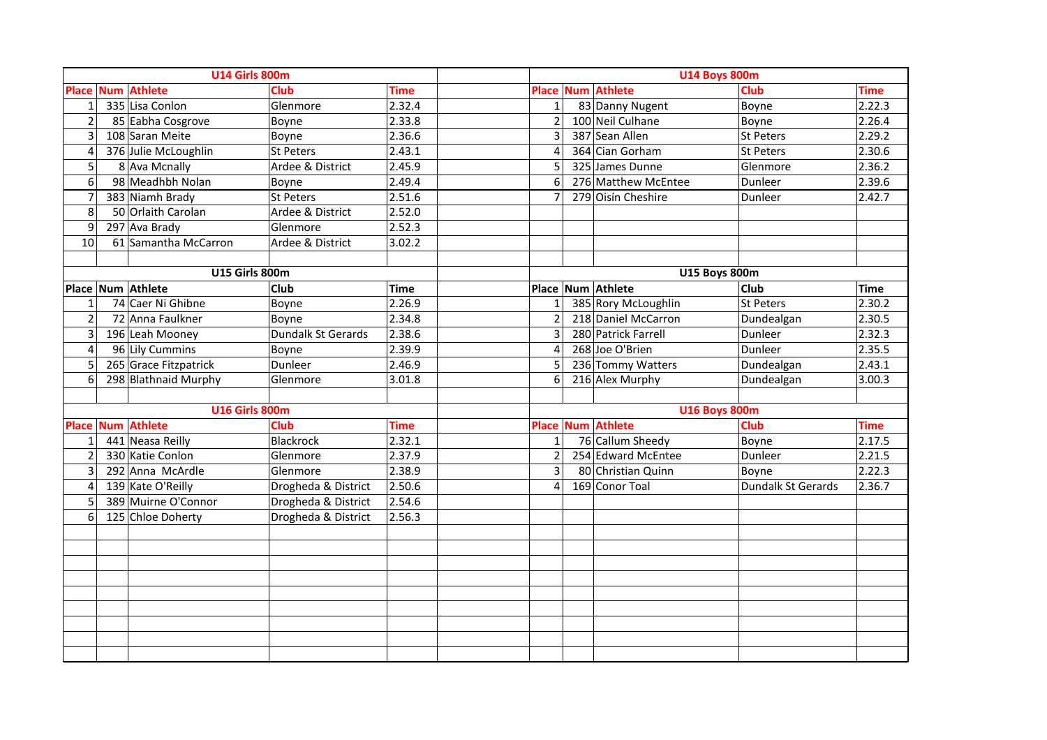|                         | <b>U14 Girls 800m</b>    |                     |             |                          |                     | <b>U14 Boys 800m</b> |             |
|-------------------------|--------------------------|---------------------|-------------|--------------------------|---------------------|----------------------|-------------|
|                         | <b>Place Num Athlete</b> | <b>Club</b>         | <b>Time</b> | <b>Place</b>             | <b>Num Athlete</b>  | Club                 | <b>Time</b> |
| $\mathbf{1}$            | 335 Lisa Conlon          | Glenmore            | 2.32.4      | $\mathbf 1$              | 83 Danny Nugent     | Boyne                | 2.22.3      |
| $\overline{2}$          | 85 Eabha Cosgrove        | Boyne               | 2.33.8      | $\overline{2}$           | 100 Neil Culhane    | Boyne                | 2.26.4      |
| 3                       | 108 Saran Meite          | Boyne               | 2.36.6      | 3                        | 387 Sean Allen      | St Peters            | 2.29.2      |
| 4                       | 376 Julie McLoughlin     | St Peters           | 2.43.1      | 4                        | 364 Cian Gorham     | St Peters            | 2.30.6      |
| 5                       | 8 Ava Mcnally            | Ardee & District    | 2.45.9      | 5                        | 325 James Dunne     | Glenmore             | 2.36.2      |
| 6                       | 98 Meadhbh Nolan         | Boyne               | 2.49.4      | 6                        | 276 Matthew McEntee | Dunleer              | 2.39.6      |
| $\overline{7}$          | 383 Niamh Brady          | <b>St Peters</b>    | 2.51.6      | $\overline{7}$           | 279 Oisín Cheshire  | Dunleer              | 2.42.7      |
| 8                       | 50 Orlaith Carolan       | Ardee & District    | 2.52.0      |                          |                     |                      |             |
| 9                       | 297 Ava Brady            | Glenmore            | 2.52.3      |                          |                     |                      |             |
| 10                      | 61 Samantha McCarron     | Ardee & District    | 3.02.2      |                          |                     |                      |             |
|                         |                          |                     |             |                          |                     |                      |             |
|                         | <b>U15 Girls 800m</b>    |                     |             |                          |                     | <b>U15 Boys 800m</b> |             |
|                         | Place Num Athlete        | <b>Club</b>         | <b>Time</b> | <b>Place</b>             | Num Athlete         | <b>Club</b>          | <b>Time</b> |
| 1                       | 74 Caer Ni Ghibne        | Boyne               | 2.26.9      | $\mathbf{1}$             | 385 Rory McLoughlin | St Peters            | 2.30.2      |
| $\overline{2}$          | 72 Anna Faulkner         | Boyne               | 2.34.8      | $\overline{2}$           | 218 Daniel McCarron | Dundealgan           | 2.30.5      |
| $\overline{3}$          | 196 Leah Mooney          | Dundalk St Gerards  | 2.38.6      | $\overline{3}$           | 280 Patrick Farrell | Dunleer              | 2.32.3      |
| $\overline{\mathbf{4}}$ | 96 Lily Cummins          | Boyne               | 2.39.9      | $\overline{\mathcal{L}}$ | 268 Joe O'Brien     | Dunleer              | 2.35.5      |
| 5                       | 265 Grace Fitzpatrick    | Dunleer             | 2.46.9      | 5                        | 236 Tommy Watters   | Dundealgan           | 2.43.1      |
| $6\overline{6}$         | 298 Blathnaid Murphy     | Glenmore            | 3.01.8      | $\overline{6}$           | 216 Alex Murphy     | Dundealgan           | 3.00.3      |
|                         |                          |                     |             |                          |                     |                      |             |
|                         | <b>U16 Girls 800m</b>    |                     |             |                          |                     | <b>U16 Boys 800m</b> |             |
| <b>Place</b>            | <b>Num Athlete</b>       | <b>Club</b>         | <b>Time</b> | <b>Place</b>             | <b>Num Athlete</b>  | Club                 | <b>Time</b> |
| $\mathbf{1}$            | 441 Neasa Reilly         | Blackrock           | 2.32.1      | $\mathbf 1$              | 76 Callum Sheedy    | Boyne                | 2.17.5      |
| $\overline{2}$          | 330 Katie Conlon         | Glenmore            | 2.37.9      | $\overline{2}$           | 254 Edward McEntee  | Dunleer              | 2.21.5      |
| 3                       | 292 Anna McArdle         | Glenmore            | 2.38.9      | 3                        | 80 Christian Quinn  | Boyne                | 2.22.3      |
| $\overline{4}$          | 139 Kate O'Reilly        | Drogheda & District | 2.50.6      | 4                        | 169 Conor Toal      | Dundalk St Gerards   | 2.36.7      |
| 5                       | 389 Muirne O'Connor      | Drogheda & District | 2.54.6      |                          |                     |                      |             |
| 6                       | 125 Chloe Doherty        | Drogheda & District | 2.56.3      |                          |                     |                      |             |
|                         |                          |                     |             |                          |                     |                      |             |
|                         |                          |                     |             |                          |                     |                      |             |
|                         |                          |                     |             |                          |                     |                      |             |
|                         |                          |                     |             |                          |                     |                      |             |
|                         |                          |                     |             |                          |                     |                      |             |
|                         |                          |                     |             |                          |                     |                      |             |
|                         |                          |                     |             |                          |                     |                      |             |
|                         |                          |                     |             |                          |                     |                      |             |
|                         |                          |                     |             |                          |                     |                      |             |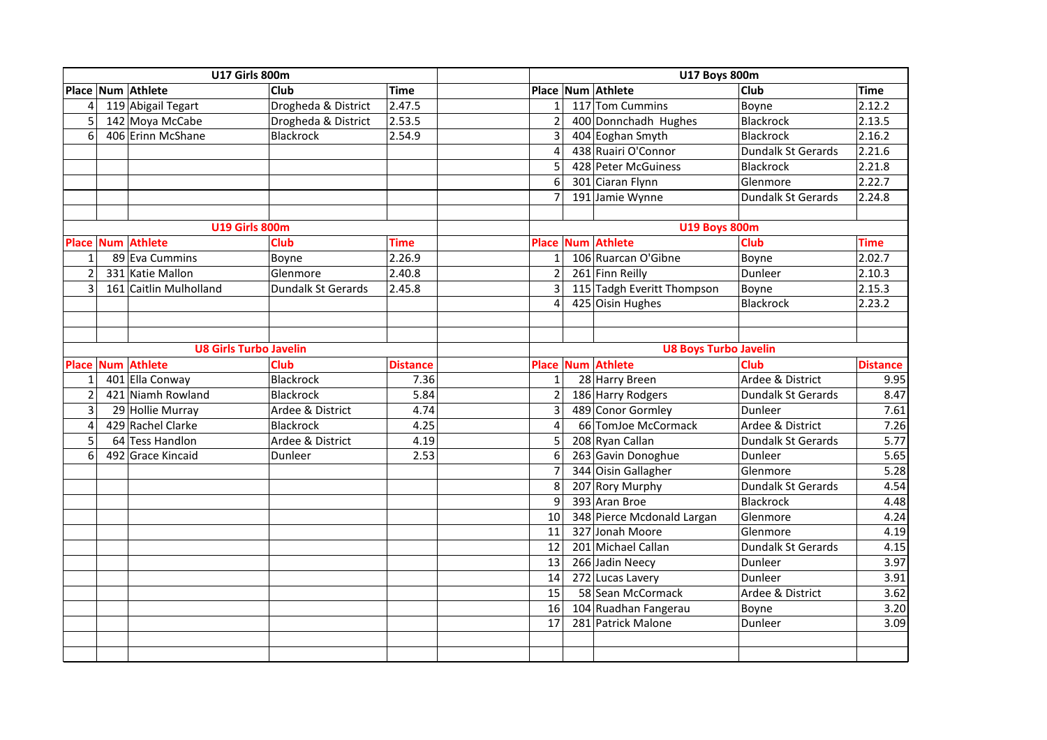|                | <b>U17 Girls 800m</b>         |                     |                 | <b>U17 Boys 800m</b> |  |                              |                           |                     |
|----------------|-------------------------------|---------------------|-----------------|----------------------|--|------------------------------|---------------------------|---------------------|
|                | Place Num Athlete             | <b>Club</b>         | <b>Time</b>     |                      |  | Place Num Athlete            | <b>Club</b>               | <b>Time</b>         |
| $\overline{4}$ | 119 Abigail Tegart            | Drogheda & District | 2.47.5          | $1\,$                |  | 117 Tom Cummins              | Boyne                     | 2.12.2              |
| 5              | 142 Moya McCabe               | Drogheda & District | 2.53.5          | $\overline{2}$       |  | 400 Donnchadh Hughes         | Blackrock                 | 2.13.5              |
| 6              | 406 Erinn McShane             | Blackrock           | 2.54.9          | 3                    |  | 404 Eoghan Smyth             | Blackrock                 | 2.16.2              |
|                |                               |                     |                 | $\overline{4}$       |  | 438 Ruairi O'Connor          | Dundalk St Gerards        | 2.21.6              |
|                |                               |                     |                 | 5                    |  | 428 Peter McGuiness          | Blackrock                 | 2.21.8              |
|                |                               |                     |                 | 6                    |  | 301 Ciaran Flynn             | Glenmore                  | $\overline{2.22.7}$ |
|                |                               |                     |                 | $\overline{7}$       |  | 191 Jamie Wynne              | <b>Dundalk St Gerards</b> | 2.24.8              |
|                |                               |                     |                 |                      |  |                              |                           |                     |
|                | <b>U19 Girls 800m</b>         |                     |                 |                      |  | <b>U19 Boys 800m</b>         |                           |                     |
|                | Place Num Athlete             | <b>Club</b>         | <b>Time</b>     |                      |  | Place Num Athlete            | <b>Club</b>               | <b>Time</b>         |
| $\mathbf{1}$   | 89 Eva Cummins                | Boyne               | 2.26.9          | $\mathbf{1}$         |  | 106 Ruarcan O'Gibne          | Boyne                     | 2.02.7              |
| $\overline{2}$ | 331 Katie Mallon              | Glenmore            | 2.40.8          | $\overline{2}$       |  | 261 Finn Reilly              | Dunleer                   | 2.10.3              |
| $\overline{3}$ | 161 Caitlin Mulholland        | Dundalk St Gerards  | 2.45.8          | $\overline{3}$       |  | 115 Tadgh Everitt Thompson   | Boyne                     | 2.15.3              |
|                |                               |                     |                 | $\overline{4}$       |  | 425 Oisin Hughes             | Blackrock                 | 2.23.2              |
|                |                               |                     |                 |                      |  |                              |                           |                     |
|                |                               |                     |                 |                      |  |                              |                           |                     |
|                | <b>U8 Girls Turbo Javelin</b> |                     |                 |                      |  | <b>U8 Boys Turbo Javelin</b> |                           |                     |
| <b>Place</b>   | <b>Num Athlete</b>            | <b>Club</b>         | <b>Distance</b> | <b>Place</b>         |  | <b>Num Athlete</b>           | <b>Club</b>               | <b>Distance</b>     |
| $\mathbf{1}$   | 401 Ella Conway               | Blackrock           | 7.36            | $\mathbf{1}$         |  | 28 Harry Breen               | Ardee & District          | 9.95                |
| $\overline{2}$ | 421 Niamh Rowland             | <b>Blackrock</b>    | 5.84            | $\overline{2}$       |  | 186 Harry Rodgers            | <b>Dundalk St Gerards</b> | 8.47                |
| $\overline{3}$ | 29 Hollie Murray              | Ardee & District    | 4.74            | 3                    |  | 489 Conor Gormley            | <b>Dunleer</b>            | 7.61                |
| $\overline{4}$ | 429 Rachel Clarke             | <b>Blackrock</b>    | 4.25            | $\overline{4}$       |  | 66 TomJoe McCormack          | Ardee & District          | 7.26                |
| 5              | 64 Tess Handlon               | Ardee & District    | 4.19            | 5                    |  | 208 Ryan Callan              | Dundalk St Gerards        | 5.77                |
| 6              | 492 Grace Kincaid             | Dunleer             | 2.53            | 6                    |  | 263 Gavin Donoghue           | Dunleer                   | 5.65                |
|                |                               |                     |                 | $\overline{7}$       |  | 344 Oisin Gallagher          | Glenmore                  | 5.28                |
|                |                               |                     |                 | 8                    |  | 207 Rory Murphy              | Dundalk St Gerards        | 4.54                |
|                |                               |                     |                 | 9                    |  | 393 Aran Broe                | Blackrock                 | 4.48                |
|                |                               |                     |                 | 10                   |  | 348 Pierce Mcdonald Largan   | Glenmore                  | 4.24                |
|                |                               |                     |                 | 11                   |  | 327 Jonah Moore              | Glenmore                  | 4.19                |
|                |                               |                     |                 | 12                   |  | 201 Michael Callan           | <b>Dundalk St Gerards</b> | 4.15                |
|                |                               |                     |                 | 13                   |  | 266 Jadin Neecy              | Dunleer                   | 3.97                |
|                |                               |                     |                 | 14                   |  | 272 Lucas Lavery             | Dunleer                   | 3.91                |
|                |                               |                     |                 | 15                   |  | 58 Sean McCormack            | Ardee & District          | 3.62                |
|                |                               |                     |                 | 16                   |  | 104 Ruadhan Fangerau         | Boyne                     | 3.20                |
|                |                               |                     |                 | 17                   |  | 281 Patrick Malone           | Dunleer                   | 3.09                |
|                |                               |                     |                 |                      |  |                              |                           |                     |
|                |                               |                     |                 |                      |  |                              |                           |                     |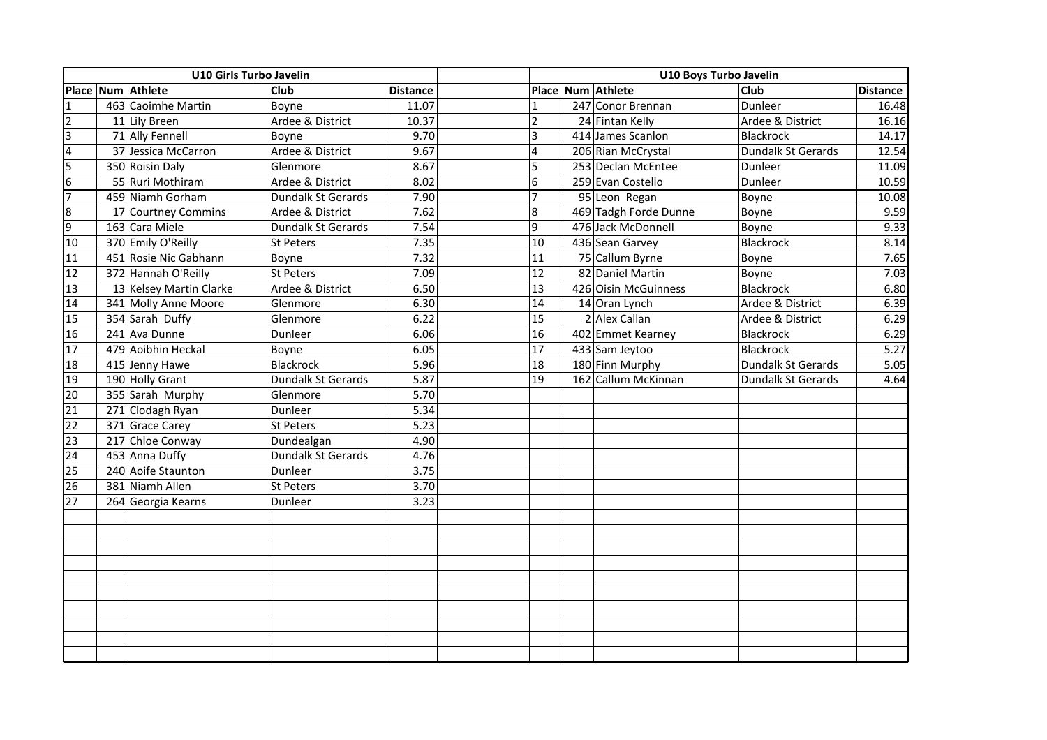|                | U10 Girls Turbo Javelin |                         |                    |                 | U10 Boys Turbo Javelin |  |                       |                    |                 |  |
|----------------|-------------------------|-------------------------|--------------------|-----------------|------------------------|--|-----------------------|--------------------|-----------------|--|
|                |                         | Place Num Athlete       | <b>Club</b>        | <b>Distance</b> |                        |  | Place Num Athlete     | Club               | <b>Distance</b> |  |
| <b>1</b>       |                         | 463 Caoimhe Martin      | Boyne              | 11.07           |                        |  | 247 Conor Brennan     | Dunleer            | 16.48           |  |
| $\overline{2}$ |                         | 11 Lily Breen           | Ardee & District   | 10.37           | $\overline{2}$         |  | 24 Fintan Kelly       | Ardee & District   | 16.16           |  |
| $\overline{3}$ |                         | 71 Ally Fennell         | Boyne              | 9.70            | $\overline{3}$         |  | 414 James Scanlon     | <b>Blackrock</b>   | 14.17           |  |
| $\overline{4}$ |                         | 37 Jessica McCarron     | Ardee & District   | 9.67            | $\overline{4}$         |  | 206 Rian McCrystal    | Dundalk St Gerards | 12.54           |  |
| 5              |                         | 350 Roisin Daly         | Glenmore           | 8.67            | 5                      |  | 253 Declan McEntee    | Dunleer            | 11.09           |  |
| 6              |                         | 55 Ruri Mothiram        | Ardee & District   | 8.02            | $6\phantom{1}6$        |  | 259 Evan Costello     | Dunleer            | 10.59           |  |
| 17             |                         | 459 Niamh Gorham        | Dundalk St Gerards | 7.90            | $\overline{7}$         |  | 95 Leon Regan         | Boyne              | 10.08           |  |
| 8              |                         | 17 Courtney Commins     | Ardee & District   | 7.62            | 8                      |  | 469 Tadgh Forde Dunne | Boyne              | 9.59            |  |
| 9              |                         | 163 Cara Miele          | Dundalk St Gerards | 7.54            | 9                      |  | 476 Jack McDonnell    | Boyne              | 9.33            |  |
| 10             |                         | 370 Emily O'Reilly      | <b>St Peters</b>   | 7.35            | 10                     |  | 436 Sean Garvey       | Blackrock          | 8.14            |  |
| 11             |                         | 451 Rosie Nic Gabhann   | Boyne              | 7.32            | 11                     |  | 75 Callum Byrne       | Boyne              | 7.65            |  |
| 12             |                         | 372 Hannah O'Reilly     | <b>St Peters</b>   | 7.09            | 12                     |  | 82 Daniel Martin      | Boyne              | 7.03            |  |
| 13             |                         | 13 Kelsey Martin Clarke | Ardee & District   | 6.50            | 13                     |  | 426 Oisin McGuinness  | <b>Blackrock</b>   | 6.80            |  |
| 14             |                         | 341 Molly Anne Moore    | Glenmore           | 6.30            | 14                     |  | 14 Oran Lynch         | Ardee & District   | 6.39            |  |
| 15             |                         | 354 Sarah Duffy         | Glenmore           | 6.22            | 15                     |  | 2 Alex Callan         | Ardee & District   | 6.29            |  |
| 16             |                         | 241 Ava Dunne           | Dunleer            | 6.06            | 16                     |  | 402 Emmet Kearney     | Blackrock          | 6.29            |  |
| 17             |                         | 479 Aoibhin Heckal      | Boyne              | 6.05            | 17                     |  | 433 Sam Jeytoo        | Blackrock          | 5.27            |  |
| 18             |                         | 415 Jenny Hawe          | <b>Blackrock</b>   | 5.96            | 18                     |  | 180 Finn Murphy       | Dundalk St Gerards | 5.05            |  |
| 19             |                         | 190 Holly Grant         | Dundalk St Gerards | 5.87            | 19                     |  | 162 Callum McKinnan   | Dundalk St Gerards | 4.64            |  |
| 20             |                         | 355 Sarah Murphy        | Glenmore           | 5.70            |                        |  |                       |                    |                 |  |
| 21             |                         | 271 Clodagh Ryan        | Dunleer            | 5.34            |                        |  |                       |                    |                 |  |
| 22             |                         | 371 Grace Carey         | <b>St Peters</b>   | 5.23            |                        |  |                       |                    |                 |  |
| 23             |                         | 217 Chloe Conway        | Dundealgan         | 4.90            |                        |  |                       |                    |                 |  |
| 24             |                         | 453 Anna Duffy          | Dundalk St Gerards | 4.76            |                        |  |                       |                    |                 |  |
| 25             |                         | 240 Aoife Staunton      | Dunleer            | 3.75            |                        |  |                       |                    |                 |  |
| 26             |                         | 381 Niamh Allen         | St Peters          | 3.70            |                        |  |                       |                    |                 |  |
| 27             |                         | 264 Georgia Kearns      | Dunleer            | 3.23            |                        |  |                       |                    |                 |  |
|                |                         |                         |                    |                 |                        |  |                       |                    |                 |  |
|                |                         |                         |                    |                 |                        |  |                       |                    |                 |  |
|                |                         |                         |                    |                 |                        |  |                       |                    |                 |  |
|                |                         |                         |                    |                 |                        |  |                       |                    |                 |  |
|                |                         |                         |                    |                 |                        |  |                       |                    |                 |  |
|                |                         |                         |                    |                 |                        |  |                       |                    |                 |  |
|                |                         |                         |                    |                 |                        |  |                       |                    |                 |  |
|                |                         |                         |                    |                 |                        |  |                       |                    |                 |  |
|                |                         |                         |                    |                 |                        |  |                       |                    |                 |  |
|                |                         |                         |                    |                 |                        |  |                       |                    |                 |  |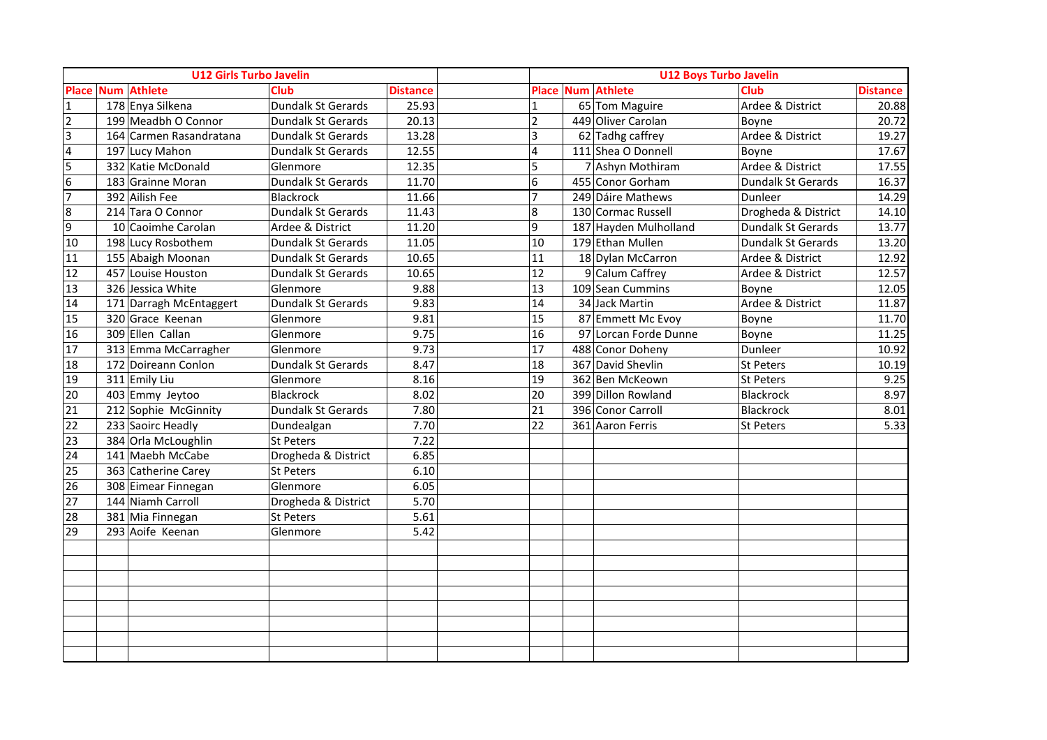|                  | <b>U12 Girls Turbo Javelin</b> |                          |                     |                 |                 | <b>U12 Boys Turbo Javelin</b> |                     |                 |
|------------------|--------------------------------|--------------------------|---------------------|-----------------|-----------------|-------------------------------|---------------------|-----------------|
|                  |                                | <b>Place Num Athlete</b> | Club                | <b>Distance</b> |                 | <b>Place Num Athlete</b>      | <b>Club</b>         | <b>Distance</b> |
| $\mathbf{1}$     |                                | 178 Enya Silkena         | Dundalk St Gerards  | 25.93           | $\mathbf{1}$    | 65 Tom Maguire                | Ardee & District    | 20.88           |
| $\overline{2}$   |                                | 199 Meadbh O Connor      | Dundalk St Gerards  | 20.13           | $\overline{2}$  | 449 Oliver Carolan            | Boyne               | 20.72           |
| $\overline{3}$   |                                | 164 Carmen Rasandratana  | Dundalk St Gerards  | 13.28           | $\overline{3}$  | 62 Tadhg caffrey              | Ardee & District    | 19.27           |
| $\overline{4}$   |                                | 197 Lucy Mahon           | Dundalk St Gerards  | 12.55           | $\overline{4}$  | 111 Shea O Donnell            | Boyne               | 17.67           |
| 5                |                                | 332 Katie McDonald       | Glenmore            | 12.35           | 5               | 7 Ashyn Mothiram              | Ardee & District    | 17.55           |
| $\boldsymbol{6}$ |                                | 183 Grainne Moran        | Dundalk St Gerards  | 11.70           | $6\phantom{.}6$ | 455 Conor Gorham              | Dundalk St Gerards  | 16.37           |
| $\overline{7}$   |                                | 392 Ailish Fee           | Blackrock           | 11.66           | $\overline{7}$  | 249 Dáire Mathews             | Dunleer             | 14.29           |
| 8                |                                | 214 Tara O Connor        | Dundalk St Gerards  | 11.43           | $\bf 8$         | 130 Cormac Russell            | Drogheda & District | 14.10           |
| 9                |                                | 10 Caoimhe Carolan       | Ardee & District    | 11.20           | $\overline{9}$  | 187 Hayden Mulholland         | Dundalk St Gerards  | 13.77           |
| 10               |                                | 198 Lucy Rosbothem       | Dundalk St Gerards  | 11.05           | 10              | 179 Ethan Mullen              | Dundalk St Gerards  | 13.20           |
| 11               |                                | 155 Abaigh Moonan        | Dundalk St Gerards  | 10.65           | 11              | 18 Dylan McCarron             | Ardee & District    | 12.92           |
| 12               |                                | 457 Louise Houston       | Dundalk St Gerards  | 10.65           | 12              | 9 Calum Caffrey               | Ardee & District    | 12.57           |
| 13               |                                | 326 Jessica White        | Glenmore            | 9.88            | 13              | 109 Sean Cummins              | Boyne               | 12.05           |
| 14               |                                | 171 Darragh McEntaggert  | Dundalk St Gerards  | 9.83            | 14              | 34 Jack Martin                | Ardee & District    | 11.87           |
| 15               |                                | 320 Grace Keenan         | Glenmore            | 9.81            | 15              | 87 Emmett Mc Evoy             | Boyne               | 11.70           |
| 16               |                                | 309 Ellen Callan         | Glenmore            | 9.75            | 16              | 97 Lorcan Forde Dunne         | Boyne               | 11.25           |
| 17               |                                | 313 Emma McCarragher     | Glenmore            | 9.73            | 17              | 488 Conor Doheny              | Dunleer             | 10.92           |
| 18               |                                | 172 Doireann Conlon      | Dundalk St Gerards  | 8.47            | 18              | 367 David Shevlin             | St Peters           | 10.19           |
| 19               |                                | 311 Emily Liu            | Glenmore            | 8.16            | 19              | 362 Ben McKeown               | St Peters           | 9.25            |
| 20               |                                | 403 Emmy Jeytoo          | <b>Blackrock</b>    | 8.02            | 20              | 399 Dillon Rowland            | Blackrock           | 8.97            |
| 21               |                                | 212 Sophie McGinnity     | Dundalk St Gerards  | 7.80            | 21              | 396 Conor Carroll             | Blackrock           | 8.01            |
| $\overline{22}$  |                                | 233 Saoirc Headly        | Dundealgan          | 7.70            | 22              | 361 Aaron Ferris              | St Peters           | 5.33            |
| 23               |                                | 384 Orla McLoughlin      | <b>St Peters</b>    | 7.22            |                 |                               |                     |                 |
| 24               |                                | 141 Maebh McCabe         | Drogheda & District | 6.85            |                 |                               |                     |                 |
| 25               |                                | 363 Catherine Carey      | <b>St Peters</b>    | 6.10            |                 |                               |                     |                 |
| 26               |                                | 308 Eimear Finnegan      | Glenmore            | 6.05            |                 |                               |                     |                 |
| 27               |                                | 144 Niamh Carroll        | Drogheda & District | 5.70            |                 |                               |                     |                 |
| 28               |                                | 381 Mia Finnegan         | <b>St Peters</b>    | 5.61            |                 |                               |                     |                 |
| 29               |                                | 293 Aoife Keenan         | Glenmore            | 5.42            |                 |                               |                     |                 |
|                  |                                |                          |                     |                 |                 |                               |                     |                 |
|                  |                                |                          |                     |                 |                 |                               |                     |                 |
|                  |                                |                          |                     |                 |                 |                               |                     |                 |
|                  |                                |                          |                     |                 |                 |                               |                     |                 |
|                  |                                |                          |                     |                 |                 |                               |                     |                 |
|                  |                                |                          |                     |                 |                 |                               |                     |                 |
|                  |                                |                          |                     |                 |                 |                               |                     |                 |
|                  |                                |                          |                     |                 |                 |                               |                     |                 |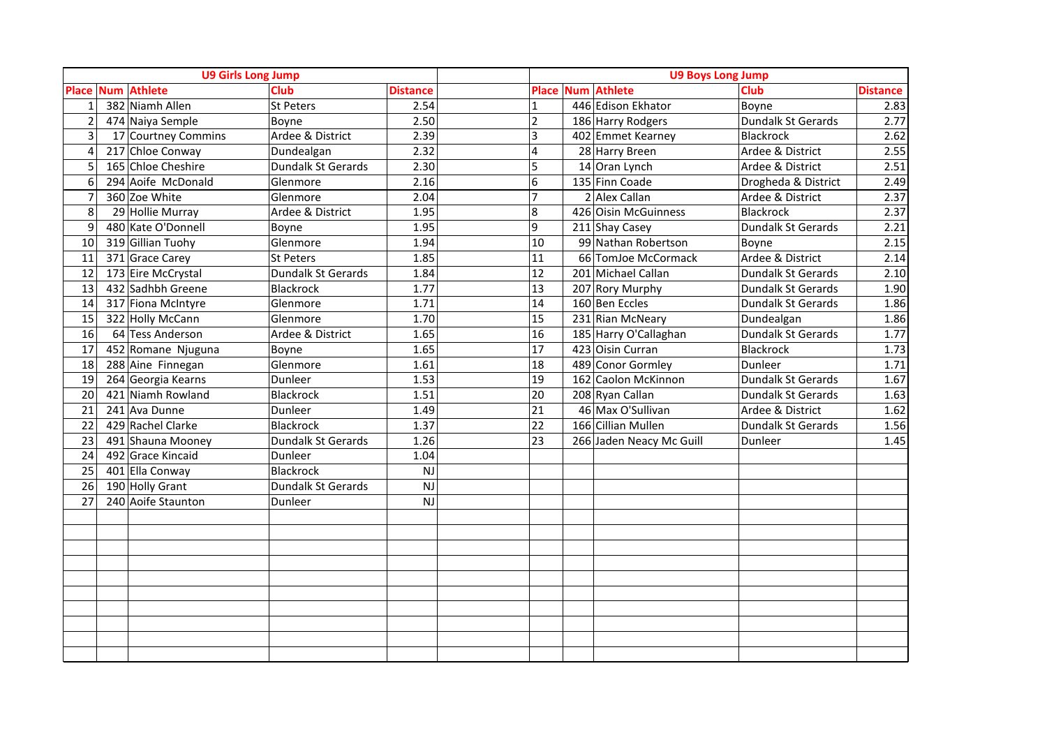|                | <b>U9 Girls Long Jump</b> |                     |                    |                 | <b>U9 Boys Long Jump</b> |  |                          |                     |                 |
|----------------|---------------------------|---------------------|--------------------|-----------------|--------------------------|--|--------------------------|---------------------|-----------------|
|                |                           | Place Num Athlete   | <b>Club</b>        | <b>Distance</b> | <b>Place</b>             |  | <b>Num Athlete</b>       | <b>Club</b>         | <b>Distance</b> |
| $\mathbf{1}$   |                           | 382 Niamh Allen     | St Peters          | 2.54            | $\mathbf{1}$             |  | 446 Edison Ekhator       | Boyne               | 2.83            |
| $\overline{2}$ |                           | 474 Naiya Semple    | Boyne              | 2.50            | $\overline{2}$           |  | 186 Harry Rodgers        | Dundalk St Gerards  | 2.77            |
| 3              |                           | 17 Courtney Commins | Ardee & District   | 2.39            | 3                        |  | 402 Emmet Kearney        | Blackrock           | 2.62            |
| 4              |                           | 217 Chloe Conway    | Dundealgan         | 2.32            | 4                        |  | 28 Harry Breen           | Ardee & District    | 2.55            |
| 5              |                           | 165 Chloe Cheshire  | Dundalk St Gerards | 2.30            | 5                        |  | 14 Oran Lynch            | Ardee & District    | 2.51            |
| 6              |                           | 294 Aoife McDonald  | Glenmore           | 2.16            | 6                        |  | 135 Finn Coade           | Drogheda & District | 2.49            |
| $\overline{7}$ |                           | 360 Zoe White       | Glenmore           | 2.04            | $\overline{7}$           |  | $2$ Alex Callan          | Ardee & District    | 2.37            |
| 8              |                           | 29 Hollie Murray    | Ardee & District   | 1.95            | $8\phantom{.}$           |  | 426 Oisin McGuinness     | Blackrock           | 2.37            |
| 9              |                           | 480 Kate O'Donnell  | Boyne              | 1.95            | 9                        |  | 211 Shay Casey           | Dundalk St Gerards  | 2.21            |
| 10             |                           | 319 Gillian Tuohy   | Glenmore           | 1.94            | 10                       |  | 99 Nathan Robertson      | Boyne               | 2.15            |
| 11             |                           | 371 Grace Carey     | St Peters          | 1.85            | 11                       |  | 66 TomJoe McCormack      | Ardee & District    | 2.14            |
| 12             |                           | 173 Eire McCrystal  | Dundalk St Gerards | 1.84            | 12                       |  | 201 Michael Callan       | Dundalk St Gerards  | 2.10            |
| 13             |                           | 432 Sadhbh Greene   | Blackrock          | 1.77            | 13                       |  | 207 Rory Murphy          | Dundalk St Gerards  | 1.90            |
| 14             |                           | 317 Fiona McIntyre  | Glenmore           | 1.71            | $\overline{14}$          |  | 160 Ben Eccles           | Dundalk St Gerards  | 1.86            |
| 15             |                           | 322 Holly McCann    | Glenmore           | 1.70            | 15                       |  | 231 Rian McNeary         | Dundealgan          | 1.86            |
| 16             |                           | 64 Tess Anderson    | Ardee & District   | 1.65            | 16                       |  | 185 Harry O'Callaghan    | Dundalk St Gerards  | 1.77            |
| 17             |                           | 452 Romane Njuguna  | Boyne              | 1.65            | 17                       |  | 423 Oisin Curran         | Blackrock           | 1.73            |
| 18             |                           | 288 Aine Finnegan   | Glenmore           | 1.61            | 18                       |  | 489 Conor Gormley        | Dunleer             | 1.71            |
| 19             |                           | 264 Georgia Kearns  | Dunleer            | 1.53            | 19                       |  | 162 Caolon McKinnon      | Dundalk St Gerards  | 1.67            |
| 20             |                           | 421 Niamh Rowland   | Blackrock          | 1.51            | 20                       |  | 208 Ryan Callan          | Dundalk St Gerards  | 1.63            |
| 21             |                           | 241 Ava Dunne       | Dunleer            | 1.49            | 21                       |  | 46 Max O'Sullivan        | Ardee & District    | 1.62            |
| 22             |                           | 429 Rachel Clarke   | Blackrock          | 1.37            | 22                       |  | 166 Cillian Mullen       | Dundalk St Gerards  | 1.56            |
| 23             |                           | 491 Shauna Mooney   | Dundalk St Gerards | 1.26            | 23                       |  | 266 Jaden Neacy Mc Guill | Dunleer             | 1.45            |
| 24             |                           | 492 Grace Kincaid   | Dunleer            | 1.04            |                          |  |                          |                     |                 |
| 25             |                           | 401 Ella Conway     | <b>Blackrock</b>   | NJ              |                          |  |                          |                     |                 |
| 26             |                           | 190 Holly Grant     | Dundalk St Gerards | <b>NJ</b>       |                          |  |                          |                     |                 |
| 27             |                           | 240 Aoife Staunton  | Dunleer            | <b>NJ</b>       |                          |  |                          |                     |                 |
|                |                           |                     |                    |                 |                          |  |                          |                     |                 |
|                |                           |                     |                    |                 |                          |  |                          |                     |                 |
|                |                           |                     |                    |                 |                          |  |                          |                     |                 |
|                |                           |                     |                    |                 |                          |  |                          |                     |                 |
|                |                           |                     |                    |                 |                          |  |                          |                     |                 |
|                |                           |                     |                    |                 |                          |  |                          |                     |                 |
|                |                           |                     |                    |                 |                          |  |                          |                     |                 |
|                |                           |                     |                    |                 |                          |  |                          |                     |                 |
|                |                           |                     |                    |                 |                          |  |                          |                     |                 |
|                |                           |                     |                    |                 |                          |  |                          |                     |                 |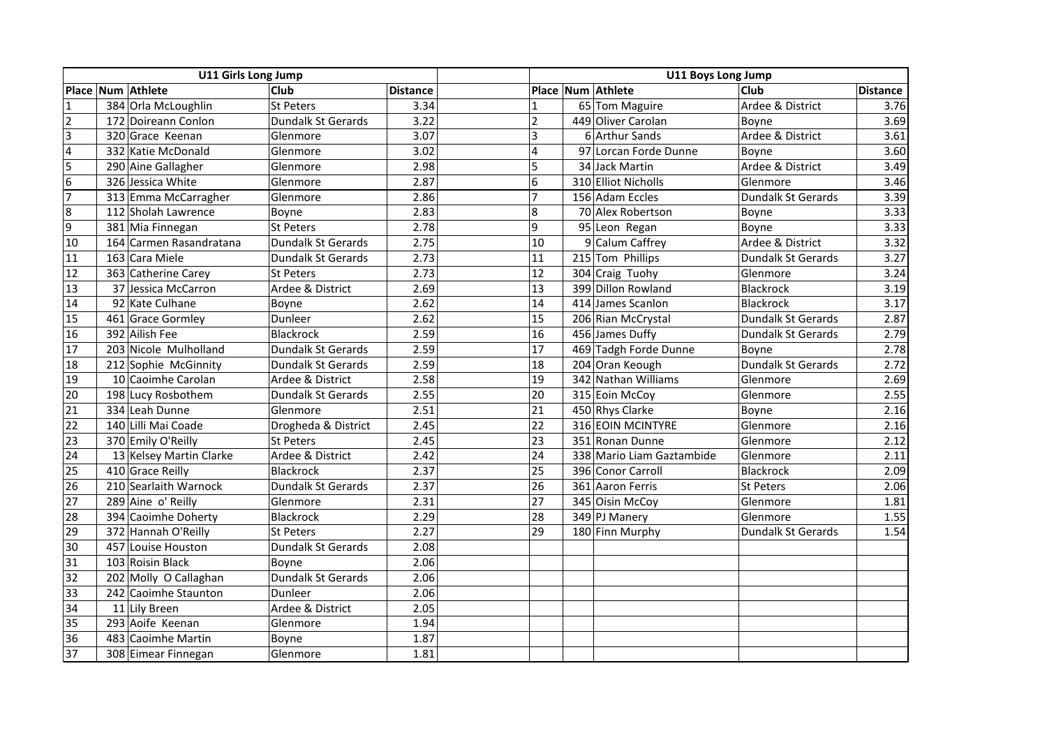|                | U11 Girls Long Jump |                                           |                           |                 | <b>U11 Boys Long Jump</b> |  |                           |                    |                 |
|----------------|---------------------|-------------------------------------------|---------------------------|-----------------|---------------------------|--|---------------------------|--------------------|-----------------|
|                |                     | Place Num Athlete                         | Club                      | <b>Distance</b> |                           |  | Place Num Athlete         | <b>Club</b>        | <b>Distance</b> |
| $\overline{1}$ |                     | 384 Orla McLoughlin                       | <b>St Peters</b>          | 3.34            | $\mathbf{1}$              |  | 65 Tom Maguire            | Ardee & District   | 3.76            |
| $\overline{2}$ |                     | 172 Doireann Conlon<br>Dundalk St Gerards |                           | 3.22            | $\overline{2}$            |  | 449 Oliver Carolan        | Boyne              | 3.69            |
| $\overline{3}$ |                     | 320 Grace Keenan<br>Glenmore              |                           | 3.07            | $\overline{3}$            |  | 6 Arthur Sands            | Ardee & District   | 3.61            |
| $\overline{4}$ |                     | 332 Katie McDonald                        | Glenmore                  | 3.02            | $\overline{4}$            |  | 97 Lorcan Forde Dunne     | Boyne              | 3.60            |
| 5              |                     | 290 Aine Gallagher                        | Glenmore                  | 2.98            | 5                         |  | 34 Jack Martin            | Ardee & District   | 3.49            |
| 6              |                     | 326 Jessica White                         | Glenmore                  | 2.87            | 6                         |  | 310 Elliot Nicholls       | Glenmore           | 3.46            |
| $\overline{7}$ |                     | 313 Emma McCarragher                      | Glenmore                  | 2.86            | $\overline{7}$            |  | 156 Adam Eccles           | Dundalk St Gerards | 3.39            |
| 8              |                     | 112 Sholah Lawrence                       | Boyne                     | 2.83            | $\boldsymbol{8}$          |  | 70 Alex Robertson         | Boyne              | 3.33            |
| 9              |                     | 381 Mia Finnegan                          | <b>St Peters</b>          | 2.78            | $\overline{9}$            |  | 95 Leon Regan             | Boyne              | 3.33            |
| 10             |                     | 164 Carmen Rasandratana                   | Dundalk St Gerards        | 2.75            | 10                        |  | 9 Calum Caffrey           | Ardee & District   | 3.32            |
| 11             |                     | 163 Cara Miele                            | <b>Dundalk St Gerards</b> | 2.73            | 11                        |  | 215 Tom Phillips          | Dundalk St Gerards | 3.27            |
| 12             |                     | 363 Catherine Carey                       | <b>St Peters</b>          | 2.73            | 12                        |  | 304 Craig Tuohy           | Glenmore           | 3.24            |
| 13             |                     | 37 Jessica McCarron                       | Ardee & District          | 2.69            | 13                        |  | 399 Dillon Rowland        | Blackrock          | 3.19            |
| 14             |                     | 92 Kate Culhane                           | Boyne                     | 2.62            | 14                        |  | 414 James Scanlon         | Blackrock          | 3.17            |
| 15             |                     | 461 Grace Gormley                         | Dunleer                   | 2.62            | 15                        |  | 206 Rian McCrystal        | Dundalk St Gerards | 2.87            |
| 16             |                     | 392 Ailish Fee                            | <b>Blackrock</b>          | 2.59            | 16                        |  | 456 James Duffy           | Dundalk St Gerards | 2.79            |
| 17             |                     | 203 Nicole Mulholland                     | Dundalk St Gerards        | 2.59            | 17                        |  | 469 Tadgh Forde Dunne     | Boyne              | 2.78            |
| 18             |                     | 212 Sophie McGinnity                      | <b>Dundalk St Gerards</b> | 2.59            | 18                        |  | 204 Oran Keough           | Dundalk St Gerards | 2.72            |
| 19             |                     | 10 Caoimhe Carolan                        | Ardee & District          | 2.58            | 19                        |  | 342 Nathan Williams       | Glenmore           | 2.69            |
| 20             |                     | 198 Lucy Rosbothem                        | <b>Dundalk St Gerards</b> | 2.55            | 20                        |  | 315 Eoin McCoy            | Glenmore           | 2.55            |
| 21             |                     | 334 Leah Dunne                            | Glenmore                  | 2.51            | $\overline{21}$           |  | 450 Rhys Clarke           | Boyne              | 2.16            |
| 22             |                     | 140 Lilli Mai Coade                       | Drogheda & District       | 2.45            | 22                        |  | 316 EOIN MCINTYRE         | Glenmore           | 2.16            |
| 23             |                     | 370 Emily O'Reilly                        | <b>St Peters</b>          | 2.45            | 23                        |  | 351 Ronan Dunne           | Glenmore           | 2.12            |
| 24             |                     | 13 Kelsey Martin Clarke                   | Ardee & District          | 2.42            | 24                        |  | 338 Mario Liam Gaztambide | Glenmore           | 2.11            |
| 25             |                     | 410 Grace Reilly                          | <b>Blackrock</b>          | 2.37            | 25                        |  | 396 Conor Carroll         | Blackrock          | 2.09            |
| 26             |                     | 210 Searlaith Warnock                     | Dundalk St Gerards        | 2.37            | 26                        |  | 361 Aaron Ferris          | St Peters          | 2.06            |
| 27             |                     | 289 Aine o' Reilly                        | Glenmore                  | 2.31            | 27                        |  | 345 Oisin McCoy           | Glenmore           | 1.81            |
| 28             |                     | 394 Caoimhe Doherty                       | <b>Blackrock</b>          | 2.29            | 28                        |  | 349 PJ Manery             | Glenmore           | 1.55            |
| 29             |                     | 372 Hannah O'Reilly                       | <b>St Peters</b>          | 2.27            | 29                        |  | 180 Finn Murphy           | Dundalk St Gerards | 1.54            |
| 30             |                     | 457 Louise Houston                        | Dundalk St Gerards        | 2.08            |                           |  |                           |                    |                 |
| 31             |                     | 103 Roisin Black                          | Boyne                     | 2.06            |                           |  |                           |                    |                 |
| 32             |                     | 202 Molly O Callaghan                     | Dundalk St Gerards        | 2.06            |                           |  |                           |                    |                 |
| 33             |                     | 242 Caoimhe Staunton                      | Dunleer                   | 2.06            |                           |  |                           |                    |                 |
| 34             |                     | 11 Lily Breen                             | Ardee & District          | 2.05            |                           |  |                           |                    |                 |
| 35             |                     | 293 Aoife Keenan                          | Glenmore                  | 1.94            |                           |  |                           |                    |                 |
| 36             |                     | 483 Caoimhe Martin                        | Boyne                     | 1.87            |                           |  |                           |                    |                 |
| 37             |                     | 308 Eimear Finnegan                       | Glenmore                  | 1.81            |                           |  |                           |                    |                 |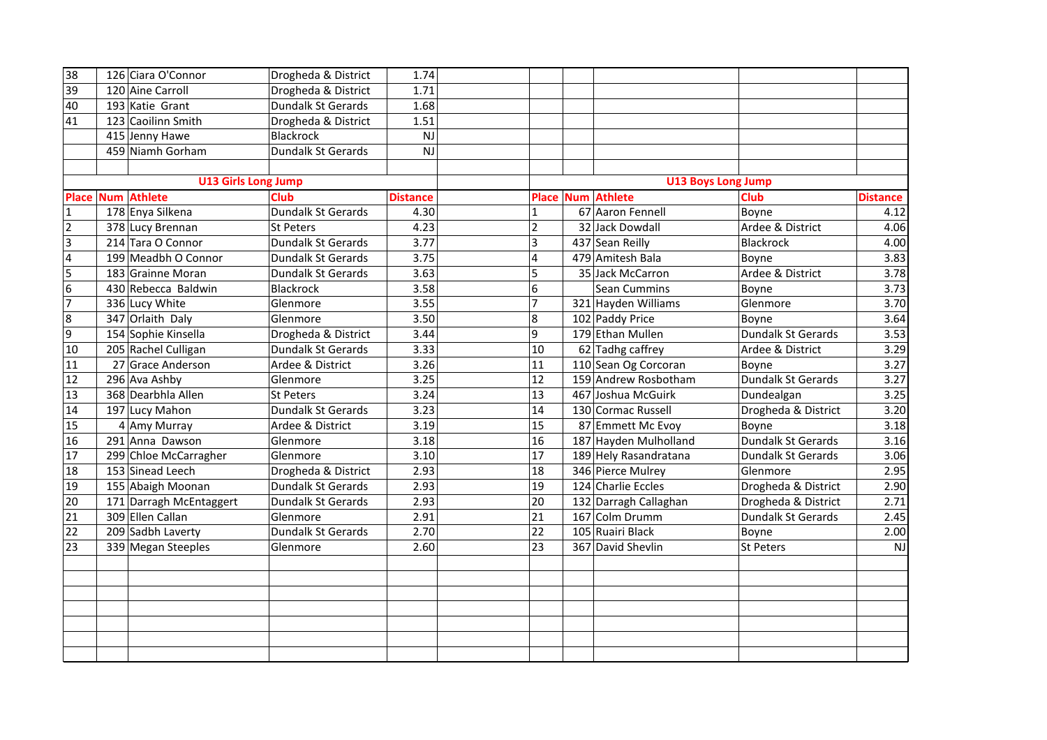| 38              | 126 Ciara O'Connor         | Drogheda & District | 1.74            |                  |                           |                           |                 |
|-----------------|----------------------------|---------------------|-----------------|------------------|---------------------------|---------------------------|-----------------|
| 39              | 120 Aine Carroll           | Drogheda & District | 1.71            |                  |                           |                           |                 |
| 40              | 193 Katie Grant            | Dundalk St Gerards  | 1.68            |                  |                           |                           |                 |
| 41              | 123 Caoilinn Smith         | Drogheda & District | 1.51            |                  |                           |                           |                 |
|                 | 415 Jenny Hawe             | <b>Blackrock</b>    | <b>NJ</b>       |                  |                           |                           |                 |
|                 | 459 Niamh Gorham           | Dundalk St Gerards  | <b>NJ</b>       |                  |                           |                           |                 |
|                 |                            |                     |                 |                  |                           |                           |                 |
|                 | <b>U13 Girls Long Jump</b> |                     |                 |                  | <b>U13 Boys Long Jump</b> |                           |                 |
| <b>Place</b>    | <b>Num Athlete</b>         | <b>Club</b>         | <b>Distance</b> |                  | <b>Place Num Athlete</b>  | <b>Club</b>               | <b>Distance</b> |
| $\mathbf{1}$    | 178 Enya Silkena           | Dundalk St Gerards  | 4.30            | $\mathbf{1}$     | 67 Aaron Fennell          | Boyne                     | 4.12            |
| $\overline{2}$  | 378 Lucy Brennan           | <b>St Peters</b>    | 4.23            | $\overline{2}$   | 32 Jack Dowdall           | Ardee & District          | 4.06            |
| $\vert$ 3       | 214 Tara O Connor          | Dundalk St Gerards  | 3.77            | $\overline{3}$   | 437 Sean Reilly           | Blackrock                 | 4.00            |
| $\overline{4}$  | 199 Meadbh O Connor        | Dundalk St Gerards  | 3.75            | $\overline{4}$   | 479 Amitesh Bala          | Boyne                     | 3.83            |
| 5               | 183 Grainne Moran          | Dundalk St Gerards  | 3.63            | 5                | 35 Jack McCarron          | Ardee & District          | 3.78            |
| $\overline{6}$  | 430 Rebecca Baldwin        | <b>Blackrock</b>    | 3.58            | 6                | <b>Sean Cummins</b>       | Boyne                     | 3.73            |
| $\overline{7}$  | 336 Lucy White             | Glenmore            | 3.55            | $\overline{7}$   | 321 Hayden Williams       | Glenmore                  | 3.70            |
| $\infty$        | 347 Orlaith Daly           | Glenmore            | 3.50            | $\boldsymbol{8}$ | 102 Paddy Price           | Boyne                     | 3.64            |
| 9               | 154 Sophie Kinsella        | Drogheda & District | 3.44            | $\overline{9}$   | 179 Ethan Mullen          | Dundalk St Gerards        | 3.53            |
| 10              | 205 Rachel Culligan        | Dundalk St Gerards  | 3.33            | 10               | 62 Tadhg caffrey          | Ardee & District          | 3.29            |
| 11              | 27 Grace Anderson          | Ardee & District    | 3.26            | 11               | 110 Sean Og Corcoran      | Boyne                     | 3.27            |
| 12              | 296 Ava Ashby              | Glenmore            | 3.25            | 12               | 159 Andrew Rosbotham      | Dundalk St Gerards        | 3.27            |
| 13              | 368 Dearbhla Allen         | <b>St Peters</b>    | 3.24            | 13               | 467 Joshua McGuirk        | Dundealgan                | 3.25            |
| 14              | 197 Lucy Mahon             | Dundalk St Gerards  | 3.23            | 14               | 130 Cormac Russell        | Drogheda & District       | 3.20            |
| 15              | 4 Amy Murray               | Ardee & District    | 3.19            | 15               | 87 Emmett Mc Evoy         | Boyne                     | 3.18            |
| 16              | 291 Anna Dawson            | Glenmore            | 3.18            | 16               | 187 Hayden Mulholland     | Dundalk St Gerards        | 3.16            |
| 17              | 299 Chloe McCarragher      | Glenmore            | 3.10            | 17               | 189 Hely Rasandratana     | <b>Dundalk St Gerards</b> | 3.06            |
| 18              | 153 Sinead Leech           | Drogheda & District | 2.93            | 18               | 346 Pierce Mulrey         | Glenmore                  | 2.95            |
| 19              | 155 Abaigh Moonan          | Dundalk St Gerards  | 2.93            | 19               | 124 Charlie Eccles        | Drogheda & District       | 2.90            |
| 20              | 171 Darragh McEntaggert    | Dundalk St Gerards  | 2.93            | 20               | 132 Darragh Callaghan     | Drogheda & District       | 2.71            |
| $\overline{21}$ | 309 Ellen Callan           | Glenmore            | 2.91            | 21               | 167 Colm Drumm            | Dundalk St Gerards        | 2.45            |
| 22              | 209 Sadbh Laverty          | Dundalk St Gerards  | 2.70            | 22               | 105 Ruairi Black          | Boyne                     | 2.00            |
| 23              | 339 Megan Steeples         | Glenmore            | 2.60            | 23               | 367 David Shevlin         | <b>St Peters</b>          | NJ              |
|                 |                            |                     |                 |                  |                           |                           |                 |
|                 |                            |                     |                 |                  |                           |                           |                 |
|                 |                            |                     |                 |                  |                           |                           |                 |
|                 |                            |                     |                 |                  |                           |                           |                 |
|                 |                            |                     |                 |                  |                           |                           |                 |
|                 |                            |                     |                 |                  |                           |                           |                 |
|                 |                            |                     |                 |                  |                           |                           |                 |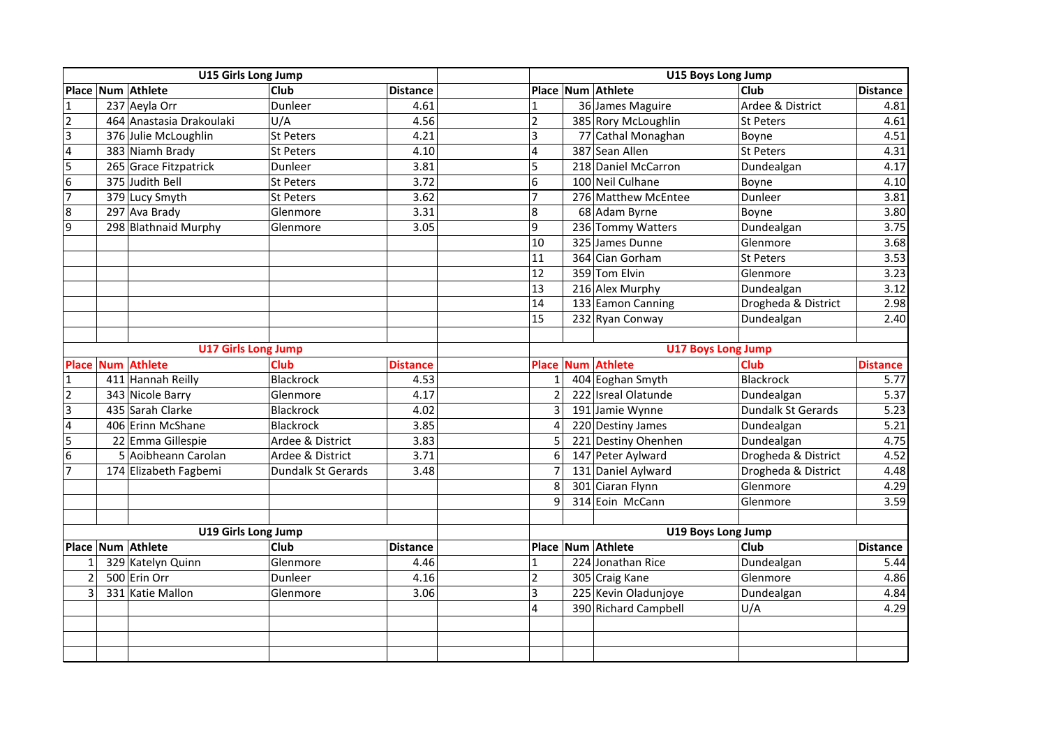|                            | U15 Girls Long Jump |                            |                           |                 | U15 Boys Long Jump |                    |                      |                     |                 |
|----------------------------|---------------------|----------------------------|---------------------------|-----------------|--------------------|--------------------|----------------------|---------------------|-----------------|
|                            |                     | Place Num Athlete          | Club                      | <b>Distance</b> |                    |                    | Place Num Athlete    | <b>Club</b>         | <b>Distance</b> |
| $\overline{1}$             |                     | 237 Aeyla Orr              | Dunleer                   | 4.61            | $\mathbf{1}$       |                    | 36 James Maguire     | Ardee & District    | 4.81            |
| $\overline{2}$             |                     | 464 Anastasia Drakoulaki   | U/A                       | 4.56            | $\overline{2}$     |                    | 385 Rory McLoughlin  | St Peters           | 4.61            |
| $\overline{3}$             |                     | 376 Julie McLoughlin       | <b>St Peters</b>          | 4.21            | $\overline{3}$     |                    | 77 Cathal Monaghan   | Boyne               | 4.51            |
| $\overline{4}$             |                     | 383 Niamh Brady            | <b>St Peters</b>          | 4.10            | $\overline{4}$     |                    | 387 Sean Allen       | St Peters           | 4.31            |
| 5                          |                     | 265 Grace Fitzpatrick      | Dunleer                   | 3.81            | 5                  |                    | 218 Daniel McCarron  | Dundealgan          | 4.17            |
| $6\phantom{a}$             |                     | 375 Judith Bell            | <b>St Peters</b>          | 3.72            | 6                  |                    | 100 Neil Culhane     | Boyne               | 4.10            |
| $\overline{7}$             |                     | 379 Lucy Smyth             | <b>St Peters</b>          | 3.62            | $\overline{7}$     |                    | 276 Matthew McEntee  | Dunleer             | 3.81            |
| 8                          |                     | 297 Ava Brady              | Glenmore                  | 3.31            | $\boldsymbol{8}$   |                    | 68 Adam Byrne        | Boyne               | 3.80            |
| 9                          |                     | 298 Blathnaid Murphy       | Glenmore                  | 3.05            | $\overline{9}$     |                    | 236 Tommy Watters    | Dundealgan          | 3.75            |
|                            |                     |                            |                           |                 | 10                 |                    | 325 James Dunne      | Glenmore            | 3.68            |
|                            |                     |                            |                           |                 | 11                 |                    | 364 Cian Gorham      | <b>St Peters</b>    | 3.53            |
|                            |                     |                            |                           |                 | 12                 |                    | 359 Tom Elvin        | Glenmore            | 3.23            |
|                            |                     |                            |                           |                 | 13                 |                    | 216 Alex Murphy      | Dundealgan          | 3.12            |
|                            |                     |                            |                           |                 | 14                 |                    | 133 Eamon Canning    | Drogheda & District | 2.98            |
|                            |                     |                            |                           |                 | 15                 |                    | 232 Ryan Conway      | Dundealgan          | 2.40            |
|                            |                     |                            |                           |                 |                    |                    |                      |                     |                 |
| <b>U17 Girls Long Jump</b> |                     |                            | <b>U17 Boys Long Jump</b> |                 |                    |                    |                      |                     |                 |
| <b>Place</b>               |                     | <b>Num Athlete</b>         | Club                      | <b>Distance</b> | <b>Place</b>       |                    | <b>Num Athlete</b>   | Club                | <b>Distance</b> |
| $\overline{1}$             |                     | 411 Hannah Reilly          | <b>Blackrock</b>          | 4.53            | $\mathbf{1}$       |                    | 404 Eoghan Smyth     | Blackrock           | 5.77            |
| $\overline{2}$             |                     | 343 Nicole Barry           | Glenmore                  | 4.17            | $\overline{2}$     |                    | 222 Isreal Olatunde  | Dundealgan          | 5.37            |
| $\overline{3}$             |                     | 435 Sarah Clarke           | <b>Blackrock</b>          | 4.02            | 3                  |                    | 191 Jamie Wynne      | Dundalk St Gerards  | 5.23            |
| $\overline{\mathbf{4}}$    |                     | 406 Erinn McShane          | <b>Blackrock</b>          | 3.85            | $\overline{4}$     |                    | 220 Destiny James    | Dundealgan          | 5.21            |
| 5                          |                     | 22 Emma Gillespie          | Ardee & District          | 3.83            | 5                  |                    | 221 Destiny Ohenhen  | Dundealgan          | 4.75            |
| $6\overline{6}$            |                     | 5 Aoibheann Carolan        | Ardee & District          | 3.71            | 6                  |                    | 147 Peter Aylward    | Drogheda & District | 4.52            |
| $\overline{7}$             |                     | 174 Elizabeth Fagbemi      | <b>Dundalk St Gerards</b> | 3.48            | $\overline{7}$     |                    | 131 Daniel Aylward   | Drogheda & District | 4.48            |
|                            |                     |                            |                           |                 | 8                  |                    | 301 Ciaran Flynn     | Glenmore            | 4.29            |
|                            |                     |                            |                           |                 | 9                  |                    | 314 Eoin McCann      | Glenmore            | 3.59            |
|                            |                     |                            |                           |                 |                    |                    |                      |                     |                 |
|                            |                     | <b>U19 Girls Long Jump</b> |                           |                 |                    | U19 Boys Long Jump |                      |                     |                 |
|                            |                     | Place Num Athlete          | Club                      | <b>Distance</b> |                    |                    | Place Num Athlete    | Club                | <b>Distance</b> |
| $\mathbf{1}$               |                     | 329 Katelyn Quinn          | Glenmore                  | 4.46            | $\mathbf{1}$       |                    | 224 Jonathan Rice    | Dundealgan          | 5.44            |
| $\overline{2}$             |                     | 500 Erin Orr               | Dunleer                   | 4.16            | $\overline{2}$     |                    | 305 Craig Kane       | Glenmore            | 4.86            |
| 3                          |                     | 331 Katie Mallon           | Glenmore                  | 3.06            | $\overline{3}$     |                    | 225 Kevin Oladunjoye | Dundealgan          | 4.84            |
|                            |                     |                            |                           |                 | $\overline{4}$     |                    | 390 Richard Campbell | U/A                 | 4.29            |
|                            |                     |                            |                           |                 |                    |                    |                      |                     |                 |
|                            |                     |                            |                           |                 |                    |                    |                      |                     |                 |
|                            |                     |                            |                           |                 |                    |                    |                      |                     |                 |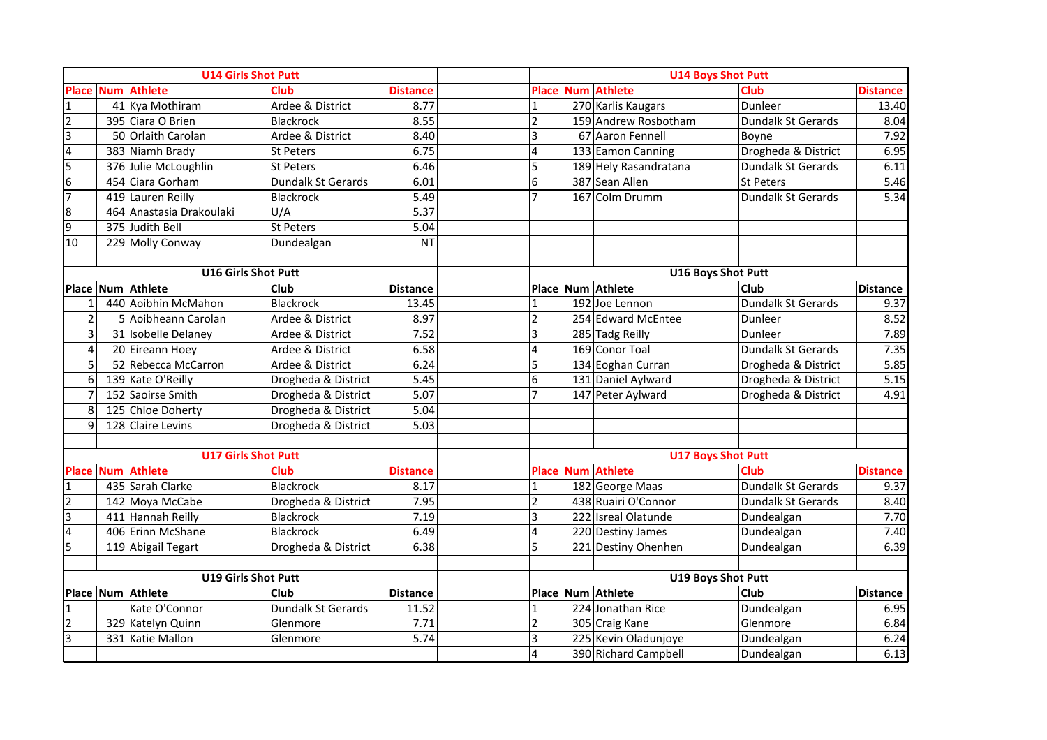| <b>U14 Girls Shot Putt</b> |  |                            |                     |                 | <b>U14 Boys Shot Putt</b> |                           |                           |                           |                 |  |
|----------------------------|--|----------------------------|---------------------|-----------------|---------------------------|---------------------------|---------------------------|---------------------------|-----------------|--|
|                            |  | <b>Place Num Athlete</b>   | <b>Club</b>         | <b>Distance</b> |                           |                           | <b>Place Num Athlete</b>  | <b>Club</b>               | <b>Distance</b> |  |
| 1                          |  | 41 Kya Mothiram            | Ardee & District    | 8.77            | $\mathbf 1$               |                           | 270 Karlis Kaugars        | Dunleer                   | 13.40           |  |
| $\overline{2}$             |  | 395 Ciara O Brien          | <b>Blackrock</b>    | 8.55            | $\overline{2}$            |                           | 159 Andrew Rosbotham      | Dundalk St Gerards        | 8.04            |  |
| $\vert$ 3                  |  | 50 Orlaith Carolan         | Ardee & District    | 8.40            | 3                         |                           | 67 Aaron Fennell          | Boyne                     | 7.92            |  |
| $\overline{a}$             |  | 383 Niamh Brady            | <b>St Peters</b>    | 6.75            | $\overline{\mathbf{4}}$   |                           | 133 Eamon Canning         | Drogheda & District       | 6.95            |  |
| 5                          |  | 376 Julie McLoughlin       | <b>St Peters</b>    | 6.46            | 5                         |                           | 189 Hely Rasandratana     | Dundalk St Gerards        | 6.11            |  |
| 6                          |  | 454 Ciara Gorham           | Dundalk St Gerards  | 6.01            | 6                         |                           | 387 Sean Allen            | St Peters                 | $5.46$          |  |
| $\overline{7}$             |  | 419 Lauren Reilly          | Blackrock           | 5.49            | $\overline{7}$            |                           | 167 Colm Drumm            | Dundalk St Gerards        | 5.34            |  |
| 8                          |  | 464 Anastasia Drakoulaki   | U/A                 | 5.37            |                           |                           |                           |                           |                 |  |
| 9                          |  | 375 Judith Bell            | <b>St Peters</b>    | 5.04            |                           |                           |                           |                           |                 |  |
| 10                         |  | 229 Molly Conway           | Dundealgan          | <b>NT</b>       |                           |                           |                           |                           |                 |  |
|                            |  |                            |                     |                 |                           |                           |                           |                           |                 |  |
|                            |  | <b>U16 Girls Shot Putt</b> |                     |                 |                           |                           | <b>U16 Boys Shot Putt</b> |                           |                 |  |
|                            |  | Place Num Athlete          | <b>Club</b>         | <b>Distance</b> |                           |                           | Place Num Athlete         | <b>Club</b>               | <b>Distance</b> |  |
| $\mathbf{1}$               |  | 440 Aoibhin McMahon        | <b>Blackrock</b>    | 13.45           | $\overline{1}$            |                           | 192 Joe Lennon            | Dundalk St Gerards        | 9.37            |  |
| $\overline{2}$             |  | 5 Aoibheann Carolan        | Ardee & District    | 8.97            | $\overline{2}$            |                           | 254 Edward McEntee        | Dunleer                   | 8.52            |  |
| $\overline{3}$             |  | 31 Isobelle Delaney        | Ardee & District    | 7.52            | 3                         |                           | 285 Tadg Reilly           | Dunleer                   | 7.89            |  |
| $\overline{4}$             |  | 20 Eireann Hoey            | Ardee & District    | 6.58            | $\overline{4}$            |                           | 169 Conor Toal            | Dundalk St Gerards        | 7.35            |  |
| 5                          |  | 52 Rebecca McCarron        | Ardee & District    | 6.24            | 5                         |                           | 134 Eoghan Curran         | Drogheda & District       | 5.85            |  |
| 6                          |  | 139 Kate O'Reilly          | Drogheda & District | 5.45            | 6                         |                           | 131 Daniel Aylward        | Drogheda & District       | 5.15            |  |
| 7                          |  | 152 Saoirse Smith          | Drogheda & District | 5.07            | $\overline{7}$            |                           | 147 Peter Aylward         | Drogheda & District       | 4.91            |  |
| 8                          |  | 125 Chloe Doherty          | Drogheda & District | 5.04            |                           |                           |                           |                           |                 |  |
| 9                          |  | 128 Claire Levins          | Drogheda & District | 5.03            |                           |                           |                           |                           |                 |  |
|                            |  |                            |                     |                 |                           |                           |                           |                           |                 |  |
|                            |  | <b>U17 Girls Shot Putt</b> |                     |                 | <b>U17 Boys Shot Putt</b> |                           |                           |                           |                 |  |
|                            |  | <b>Place Num Athlete</b>   | <b>Club</b>         | <b>Distance</b> |                           |                           | <b>Place Num Athlete</b>  | Club                      | <b>Distance</b> |  |
| 1                          |  | 435 Sarah Clarke           | <b>Blackrock</b>    | 8.17            | 1                         |                           | 182 George Maas           | Dundalk St Gerards        | 9.37            |  |
| $\overline{2}$             |  | 142 Moya McCabe            | Drogheda & District | 7.95            | $\overline{2}$            |                           | 438 Ruairi O'Connor       | <b>Dundalk St Gerards</b> | 8.40            |  |
| $\overline{3}$             |  | 411 Hannah Reilly          | Blackrock           | 7.19            | 3                         |                           | 222 Isreal Olatunde       | Dundealgan                | 7.70            |  |
| $\overline{4}$             |  | 406 Erinn McShane          | <b>Blackrock</b>    | 6.49            | $\overline{4}$            |                           | 220 Destiny James         | Dundealgan                | 7.40            |  |
| 5                          |  | 119 Abigail Tegart         | Drogheda & District | 6.38            | 5                         |                           | 221 Destiny Ohenhen       | Dundealgan                | 6.39            |  |
|                            |  |                            |                     |                 |                           |                           |                           |                           |                 |  |
| <b>U19 Girls Shot Putt</b> |  |                            |                     |                 |                           | <b>U19 Boys Shot Putt</b> |                           |                           |                 |  |
|                            |  | Place Num Athlete          | <b>Club</b>         | Distance        |                           |                           | Place Num Athlete         | <b>Club</b>               | <b>Distance</b> |  |
| $\overline{1}$             |  | Kate O'Connor              | Dundalk St Gerards  | 11.52           | $\mathbf{1}$              |                           | 224 Jonathan Rice         | Dundealgan                | 6.95            |  |
| $\overline{2}$             |  | 329 Katelyn Quinn          | Glenmore            | 7.71            | $\overline{2}$            |                           | 305 Craig Kane            | Glenmore                  | 6.84            |  |
| $\overline{3}$             |  | 331 Katie Mallon           | Glenmore            | 5.74            | $\vert$ 3                 |                           | 225 Kevin Oladunjoye      | Dundealgan                | 6.24            |  |
|                            |  |                            |                     |                 | $\overline{4}$            |                           | 390 Richard Campbell      | Dundealgan                | 6.13            |  |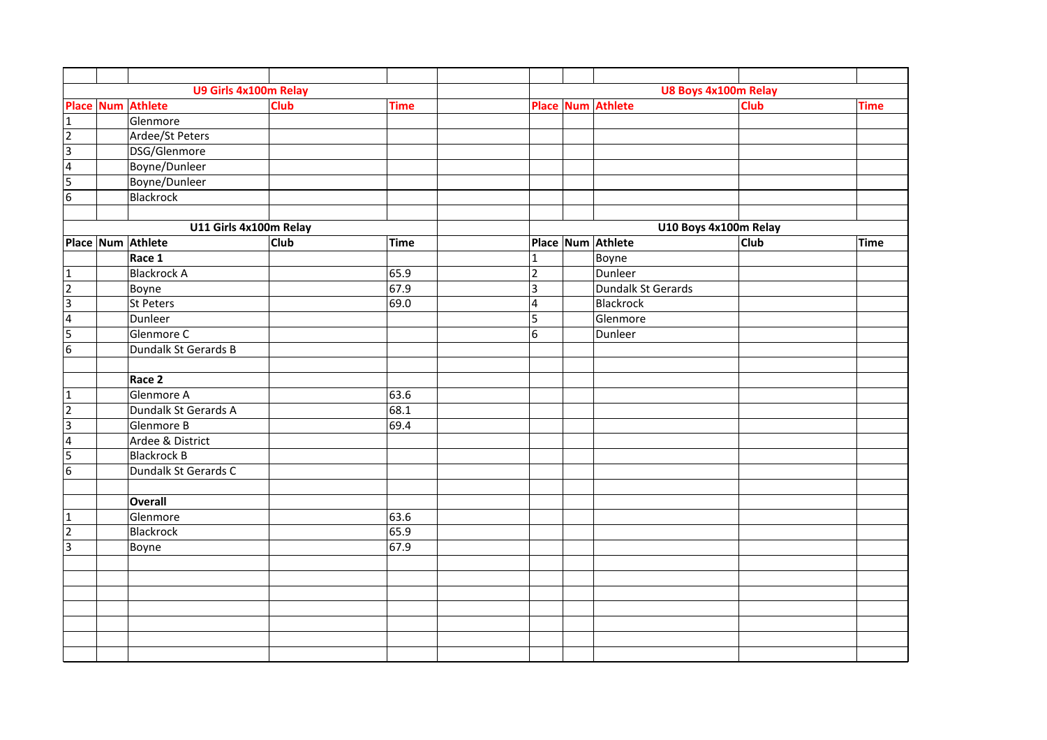|                 | U9 Girls 4x100m Relay  |             |             | U8 Boys 4x100m Relay |  |                          |                       |             |  |  |
|-----------------|------------------------|-------------|-------------|----------------------|--|--------------------------|-----------------------|-------------|--|--|
|                 | Place Num Athlete      | <b>Club</b> | <b>Time</b> |                      |  | <b>Place Num Athlete</b> | <b>Club</b>           | <b>Time</b> |  |  |
| $\mathbf 1$     | Glenmore               |             |             |                      |  |                          |                       |             |  |  |
| $\overline{2}$  | Ardee/St Peters        |             |             |                      |  |                          |                       |             |  |  |
| $\epsilon$      | DSG/Glenmore           |             |             |                      |  |                          |                       |             |  |  |
| $\overline{4}$  | Boyne/Dunleer          |             |             |                      |  |                          |                       |             |  |  |
| $\overline{5}$  | Boyne/Dunleer          |             |             |                      |  |                          |                       |             |  |  |
| $6\overline{6}$ | <b>Blackrock</b>       |             |             |                      |  |                          |                       |             |  |  |
|                 |                        |             |             |                      |  |                          |                       |             |  |  |
|                 | U11 Girls 4x100m Relay |             |             |                      |  |                          | U10 Boys 4x100m Relay |             |  |  |
|                 | Place Num Athlete      | <b>Club</b> | <b>Time</b> |                      |  | Place Num Athlete        | Club                  | <b>Time</b> |  |  |
|                 | Race 1                 |             |             | $\mathbf{1}$         |  | Boyne                    |                       |             |  |  |
| $\mathbf{1}$    | <b>Blackrock A</b>     |             | 65.9        | $\overline{2}$       |  | Dunleer                  |                       |             |  |  |
| $\overline{2}$  | Boyne                  |             | 67.9        | $\overline{3}$       |  | Dundalk St Gerards       |                       |             |  |  |
| Ξ               | St Peters              |             | 69.0        | $\overline{a}$       |  | Blackrock                |                       |             |  |  |
| $\overline{4}$  | Dunleer                |             |             | 5                    |  | Glenmore                 |                       |             |  |  |
| 5               | Glenmore C             |             |             | $\sqrt{6}$           |  | Dunleer                  |                       |             |  |  |
| $\overline{6}$  | Dundalk St Gerards B   |             |             |                      |  |                          |                       |             |  |  |
|                 |                        |             |             |                      |  |                          |                       |             |  |  |
|                 | Race 2                 |             |             |                      |  |                          |                       |             |  |  |
| $\mathbf{1}$    | Glenmore A             |             | 63.6        |                      |  |                          |                       |             |  |  |
| $\overline{2}$  | Dundalk St Gerards A   |             | 68.1        |                      |  |                          |                       |             |  |  |
| $\overline{a}$  | Glenmore B             |             | 69.4        |                      |  |                          |                       |             |  |  |
| $\overline{4}$  | Ardee & District       |             |             |                      |  |                          |                       |             |  |  |
| $\overline{5}$  | <b>Blackrock B</b>     |             |             |                      |  |                          |                       |             |  |  |
| $\overline{6}$  | Dundalk St Gerards C   |             |             |                      |  |                          |                       |             |  |  |
|                 |                        |             |             |                      |  |                          |                       |             |  |  |
|                 | <b>Overall</b>         |             |             |                      |  |                          |                       |             |  |  |
| $\mathbf{1}$    | Glenmore               |             | 63.6        |                      |  |                          |                       |             |  |  |
| $\overline{2}$  | Blackrock              |             | 65.9        |                      |  |                          |                       |             |  |  |
| $\overline{3}$  | Boyne                  |             | 67.9        |                      |  |                          |                       |             |  |  |
|                 |                        |             |             |                      |  |                          |                       |             |  |  |
|                 |                        |             |             |                      |  |                          |                       |             |  |  |
|                 |                        |             |             |                      |  |                          |                       |             |  |  |
|                 |                        |             |             |                      |  |                          |                       |             |  |  |
|                 |                        |             |             |                      |  |                          |                       |             |  |  |
|                 |                        |             |             |                      |  |                          |                       |             |  |  |
|                 |                        |             |             |                      |  |                          |                       |             |  |  |